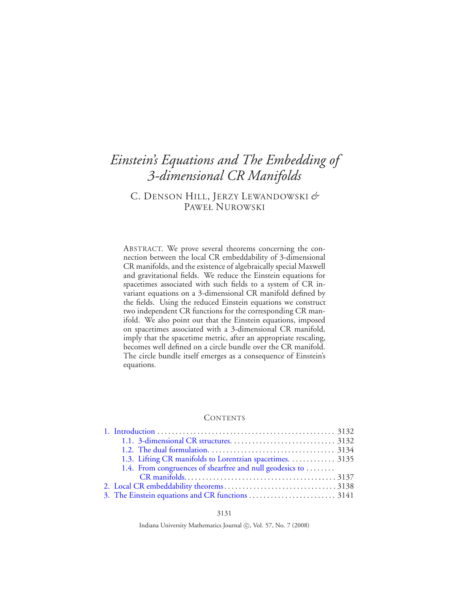# *Einstein's Equations and The Embedding of 3-dimensional CR Manifolds*

# C. DENSON HILL, JERZY LEWANDOWSKI *&* PAWEŁ NUROWSKI

ABSTRACT. We prove several theorems concerning the connection between the local CR embeddability of 3-dimensional CR manifolds, and the existence of algebraically special Maxwell and gravitational fields. We reduce the Einstein equations for spacetimes associated with such fields to a system of CR invariant equations on a 3-dimensional CR manifold defined by the fields. Using the reduced Einstein equations we construct two independent CR functions for the corresponding CR manifold. We also point out that the Einstein equations, imposed on spacetimes associated with a 3-dimensional CR manifold, imply that the spacetime metric, after an appropriate rescaling, becomes well defined on a circle bundle over the CR manifold. The circle bundle itself emerges as a consequence of Einstein's equations.

#### **CONTENTS**

| 1.3. Lifting CR manifolds to Lorentzian spacetimes. 3135 |  |
|----------------------------------------------------------|--|
| 1.4. From congruences of shearfree and null geodesics to |  |
|                                                          |  |
|                                                          |  |
|                                                          |  |

Indiana University Mathematics Journal (C), Vol. 57, No. 7 (2008)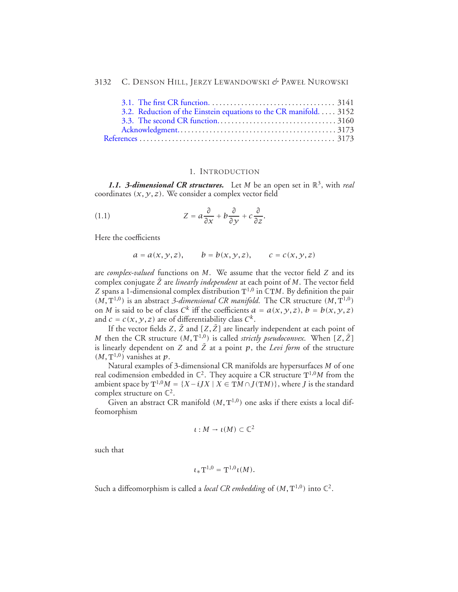| 3.2. Reduction of the Einstein equations to the CR manifold. 3152 |  |
|-------------------------------------------------------------------|--|
|                                                                   |  |
|                                                                   |  |
|                                                                   |  |

#### 1. INTRODUCTION

<span id="page-1-1"></span><span id="page-1-0"></span>**1.1. 3-dimensional CR structures.** Let *M* be an open set in  $\mathbb{R}^3$ , with *real* coordinates  $(x, y, z)$ . We consider a complex vector field

(1.1) 
$$
Z = a \frac{\partial}{\partial x} + b \frac{\partial}{\partial y} + c \frac{\partial}{\partial z}.
$$

Here the coefficients

$$
a = a(x, y, z),
$$
  $b = b(x, y, z),$   $c = c(x, y, z)$ 

are *complex-valued* functions on *M*. We assume that the vector field *Z* and its complex conjugate *<sup>Z</sup>*¯ are *linearly independent* at each point of *<sup>M</sup>*. The vector field *Z* spans a 1-dimensional complex distribution  $T^{1,0}$  in  $CTM$ . By definition the pair  $(M, T^{1,0})$  is an abstract 3-dimensional CR manifold. The CR structure  $(M, T^{1,0})$ on *M* is said to be of class  $C^k$  iff the coefficients  $a = a(x, y, z)$ ,  $b = b(x, y, z)$ and  $c = c(x, y, z)$  are of differentiability class  $C^k$ .

If the vector fields  $Z$ ,  $\bar{Z}$  and  $[Z, \bar{Z}]$  are linearly independent at each point of *M* then the CR structure  $(M, T^{1,0})$  is called *strictly pseudoconvex*. When  $[Z, \bar{Z}]$ is linearly dependent on *Z* and  $\overline{Z}$  at a point  $p$ , the *Levi form* of the structure  $(M, T^{1,0})$  vanishes at p.

Natural examples of 3-dimensional CR manifolds are hypersurfaces *M* of one real codimension embedded in  $\mathbb{C}^2$ . They acquire a CR structure  $T^{1,0}M$  from the ambient space by  $T^{1,0}M = \{X - iJX \mid X \in \mathbb{T}M \cap J(\mathbb{T}M)\}\)$ , where *J* is the standard complex structure on  $\mathbb{C}^2$ .

Given an abstract CR manifold  $(M, T^{1,0})$  one asks if there exists a local diffeomorphism

$$
\iota: M \to \iota(M) \subset \mathbb{C}^2
$$

such that

$$
\iota_* \mathrm{T}^{1,0} = \mathrm{T}^{1,0} \iota(M).
$$

Such a diffeomorphism is called a *local CR embedding* of  $(M, T^{1,0})$  into  $\mathbb{C}^2$ .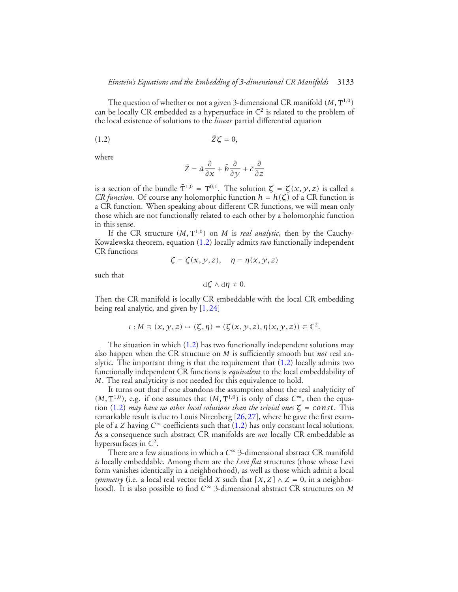The question of whether or not a given 3-dimensional CR manifold *(M,* <sup>T</sup>1*,*0*)* can be locally CR embedded as a hypersurface in  $\mathbb{C}^2$  is related to the problem of the local existence of solutions to the *linear* partial differential equation

$$
(1.2) \t\t \bar{Z}\zeta = 0,
$$

where

<span id="page-2-0"></span>
$$
\bar{Z} = \bar{a}\frac{\partial}{\partial x} + \bar{b}\frac{\partial}{\partial y} + \bar{c}\frac{\partial}{\partial z}
$$

is a section of the bundle  $\overline{T}^{1,0} = T^{0,1}$ . The solution  $\zeta = \zeta(x, y, z)$  is called a *CR function.* Of course any holomorphic function  $h = h(\zeta)$  of a CR function is a CR function. When speaking about different CR functions, we will mean only those which are not functionally related to each other by a holomorphic function in this sense.

If the CR structure  $(M, T^{1,0})$  on *M* is *real analytic*, then by the Cauchy-Kowalewska theorem, equation [\(1.2\)](#page-2-0) locally admits *two* functionally independent CR functions

$$
\zeta = \zeta(x, y, z), \quad \eta = \eta(x, y, z)
$$

such that

$$
\mathrm{d}\zeta\wedge\mathrm{d}\eta\neq0.
$$

Then the CR manifold is locally CR embeddable with the local CR embedding being real analytic, and given by [\[1,](#page-42-1) [24\]](#page-43-0)

$$
\iota: M\ni (x, y, z)\mapsto (\zeta, \eta)=(\zeta(x, y, z), \eta(x, y, z))\in \mathbb{C}^2.
$$

The situation in which [\(1.2\)](#page-2-0) has two functionally independent solutions may also happen when the CR structure on *M* is sufficiently smooth but *not* real analytic. The important thing is that the requirement that [\(1.2\)](#page-2-0) locally admits two functionally independent CR functions is *equivalent* to the local embeddability of *M*. The real analyticity is not needed for this equivalence to hold.

It turns out that if one abandons the assumption about the real analyticity of  $(M, T^{1,0})$ , e.g. if one assumes that  $(M, T^{1,0})$  is only of class  $C^{\infty}$ , then the equa-tion [\(1.2\)](#page-2-0) *may have no other local solutions than the trivial ones*  $\zeta$  = *const.* This remarkable result is due to Louis Nirenberg [\[26,](#page-43-1)[27\]](#page-43-2), where he gave the first example of a *Z* having  $C^{\infty}$  coefficients such that [\(1.2\)](#page-2-0) has only constant local solutions. As a consequence such abstract CR manifolds are *not* locally CR embeddable as hypersurfaces in  $\mathbb{C}^2$ .

There are a few situations in which a *C*<sup>∞</sup> 3-dimensional abstract CR manifold *is* locally embeddable. Among them are the *Levi flat* structures (those whose Levi form vanishes identically in a neighborhood), as well as those which admit a local *symmetry* (i.e. a local real vector field *X* such that  $[X, Z] \wedge Z = 0$ , in a neighborhood). It is also possible to find *C*<sup>∞</sup> 3-dimensional abstract CR structures on *M*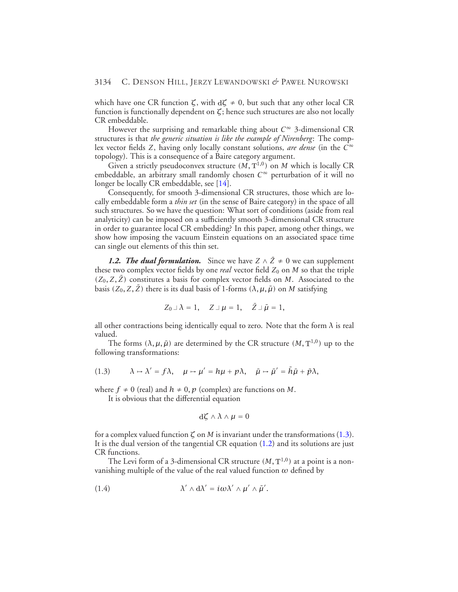which have one CR function  $\zeta$ , with  $d\zeta \neq 0$ , but such that any other local CR function is functionally dependent on *ζ*; hence such structures are also not locally CR embeddable.

However the surprising and remarkable thing about *C*<sup>∞</sup> 3-dimensional CR structures is that *the generic situation is like the example of Nirenberg*: The complex vector fields *Z*, having only locally constant solutions, *are dense* (in the *C*<sup>∞</sup> topology). This is a consequence of a Baire category argument.

Given a strictly pseudoconvex structure  $(M, T^{1,0})$  on M which is locally CR embeddable, an arbitrary small randomly chosen *C*<sup>∞</sup> perturbation of it will no longer be locally CR embeddable, see [\[14\]](#page-43-3).

Consequently, for smooth 3-dimensional CR structures, those which are locally embeddable form a *thin set* (in the sense of Baire category) in the space of all such structures. So we have the question: What sort of conditions (aside from real analyticity) can be imposed on a sufficiently smooth 3-dimensional CR structure in order to guarantee local CR embedding? In this paper, among other things, we show how imposing the vacuum Einstein equations on an associated space time can single out elements of this thin set.

<span id="page-3-0"></span>*1.2. The dual formulation.* Since we have  $Z \wedge \overline{Z} \neq 0$  we can supplement these two complex vector fields by one *real* vector field  $Z_0$  on  $M$  so that the triple  $(Z_0, Z, \bar{Z})$  constitutes a basis for complex vector fields on *M*. Associated to the basis  $(Z_0, Z, \bar{Z})$  there is its dual basis of 1-forms  $(\lambda, \mu, \bar{\mu})$  on *M* satisfying

$$
Z_0 \perp \lambda = 1, \quad Z \perp \mu = 1, \quad \bar{Z} \perp \bar{\mu} = 1,
$$

all other contractions being identically equal to zero. Note that the form  $\lambda$  is real valued.

<span id="page-3-1"></span>The forms  $(\lambda, \mu, \bar{\mu})$  are determined by the CR structure  $(M, T^{1,0})$  up to the following transformations:

(1.3) 
$$
\lambda \mapsto \lambda' = f\lambda, \quad \mu \mapsto \mu' = h\mu + p\lambda, \quad \bar{\mu} \mapsto \bar{\mu}' = \bar{h}\bar{\mu} + \bar{p}\lambda,
$$

where  $f \neq 0$  (real) and  $h \neq 0$ ,  $p$  (complex) are functions on *M*.

It is obvious that the differential equation

<span id="page-3-2"></span>
$$
\mathrm{d}\zeta\wedge\lambda\wedge\mu=0
$$

for a complex valued function  $\zeta$  on *M* is invariant under the transformations [\(1.3\)](#page-3-1). It is the dual version of the tangential CR equation [\(1.2\)](#page-2-0) and its solutions are just CR functions.

The Levi form of a 3-dimensional CR structure  $(M, T^{1,0})$  at a point is a nonvanishing multiple of the value of the real valued function  $\omega$  defined by

(1.4) 
$$
\lambda' \wedge d\lambda' = i\omega \lambda' \wedge \mu' \wedge \bar{\mu}'.
$$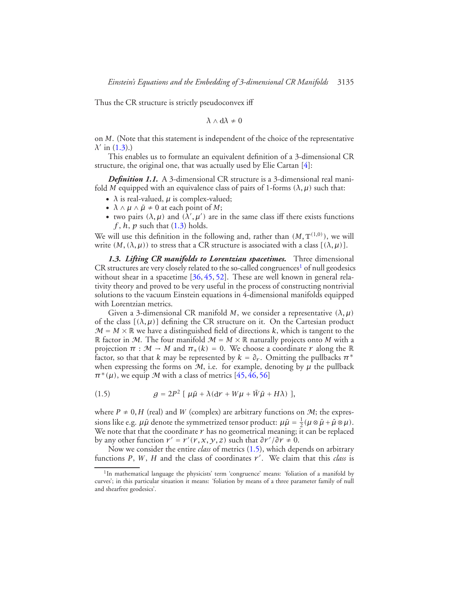Thus the CR structure is strictly pseudoconvex iff

$$
\lambda \wedge d\lambda \neq 0
$$

on *M*. (Note that this statement is independent of the choice of the representative  $λ'$  in [\(1.3\)](#page-3-1).)

This enables us to formulate an equivalent definition of a 3-dimensional CR structure, the original one, that was actually used by Elie Cartan [\[4\]](#page-42-2):

*Definition 1.1.* A 3-dimensional CR structure is a 3-dimensional real manifold *M* equipped with an equivalence class of pairs of 1-forms  $(\lambda, \mu)$  such that:

- $\lambda$  is real-valued,  $\mu$  is complex-valued;
- $\lambda \wedge \mu \wedge \bar{\mu} \neq 0$  at each point of *M*;
- two pairs  $(\lambda, \mu)$  and  $(\lambda', \mu')$  are in the same class iff there exists functions *f* , *h*, *p* such that [\(1.3\)](#page-3-1) holds.

We will use this definition in the following and, rather than  $(M, T^{(1,0)})$ , we will write  $(M, (\lambda, \mu))$  to stress that a CR structure is associated with a class  $[(\lambda, \mu)]$ .

<span id="page-4-0"></span>*1.3. Lifting CR manifolds to Lorentzian spacetimes.* Three dimensional  $CR$  structures are very closely related to the so-called congruences<sup>1</sup> of null geodesics without shear in a spacetime [\[36,](#page-43-4) [45,](#page-44-0) [52\]](#page-44-1). These are well known in general relativity theory and proved to be very useful in the process of constructing nontrivial solutions to the vacuum Einstein equations in 4-dimensional manifolds equipped with Lorentzian metrics.

Given a 3-dimensional CR manifold *M*, we consider a representative *(λ, µ)* of the class  $[(\lambda, \mu)]$  defining the CR structure on it. On the Cartesian product  $M = M \times \mathbb{R}$  we have a distinguished field of directions *k*, which is tangent to the R factor in M. The four manifold  $\mathcal{M} = M \times \mathbb{R}$  naturally projects onto M with a projection  $\pi : \mathcal{M} \to M$  and  $\pi_*(k) = 0$ . We choose a coordinate  $r$  along the  $\mathbb{R}$ factor, so that that *k* may be represented by  $k = \partial_r$ . Omitting the pullbacks  $\pi^*$ when expressing the forms on  $M$ , i.e. for example, denoting by  $\mu$  the pullback  $\pi^*(\mu)$ , we equip M with a class of metrics [\[45,](#page-44-0) [46,](#page-44-2) [56\]](#page-44-3)

<span id="page-4-2"></span>(1.5) 
$$
g = 2P^2 \left[ \mu \bar{\mu} + \lambda (\mathrm{d}r + W\mu + \bar{W}\bar{\mu} + H\lambda) \right],
$$

where  $P \neq 0$ , *H* (real) and *W* (complex) are arbitrary functions on *M*; the expressions like e.g.  $\mu\bar{\mu}$  denote the symmetrized tensor product:  $\mu\bar{\mu} = \frac{1}{2}(\mu \otimes \bar{\mu} + \bar{\mu} \otimes \mu)$ . We note that that the coordinate  $r$  has no geometrical meaning; it can be replaced by any other function  $r' = r'(r, x, y, z)$  such that  $\partial r'/\partial r \neq 0$ .

Now we consider the entire *class* of metrics [\(1.5\)](#page-4-2), which depends on arbitrary functions  $P$ ,  $W$ ,  $H$  and the class of coordinates  $r'$ . We claim that this *class* is

<span id="page-4-1"></span><sup>&</sup>lt;sup>1</sup>In mathematical language the physicists' term 'congruence' means: 'foliation of a manifold by curves'; in this particular situation it means: 'foliation by means of a three parameter family of null and shearfree geodesics'.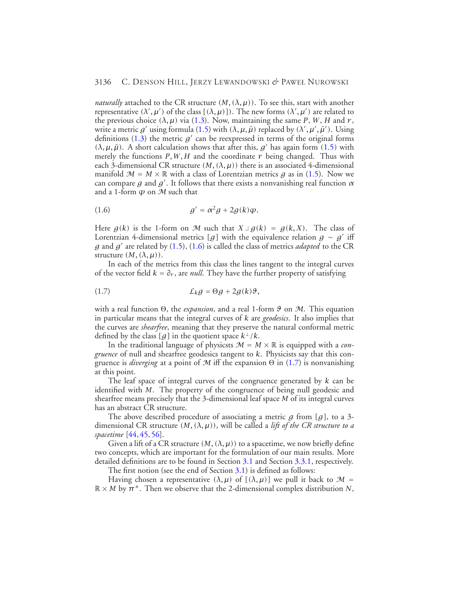*naturally* attached to the CR structure  $(M, (\lambda, \mu))$ . To see this, start with another representative  $(\lambda', \mu')$  of the class  $[(\lambda, \mu)]$ ). The new forms  $(\lambda', \mu')$  are related to the previous choice  $(\lambda, \mu)$  via [\(1.3\)](#page-3-1). Now, maintaining the same *P*, *W*, *H* and *r*, write a metric  $g'$  using formula [\(1.5\)](#page-4-2) with  $(\lambda, \mu, \bar{\mu})$  replaced by  $(\lambda', \mu', \bar{\mu}')$ . Using definitions  $(1.3)$  the metric  $g'$  can be reexpressed in terms of the original forms  $(λ, μ,  $\bar{μ}$ ). A short calculation shows that after this,  $g'$  has again form (1.5) with$  $(λ, μ,  $\bar{μ}$ ). A short calculation shows that after this,  $g'$  has again form (1.5) with$  $(λ, μ,  $\bar{μ}$ ). A short calculation shows that after this,  $g'$  has again form (1.5) with$ merely the functions  $P, W, H$  and the coordinate  $r$  being changed. Thus with each 3-dimensional CR structure  $(M, (\lambda, \mu))$  there is an associated 4-dimensional manifold  $\mathcal{M} = M \times \mathbb{R}$  with a class of Lorentzian metrics *q* as in [\(1.5\)](#page-4-2). Now we can compare *g* and *g*<sup>0</sup> . It follows that there exists a nonvanishing real function *α* and a 1-form  $\varphi$  on  $\mathcal M$  such that

<span id="page-5-0"></span>
$$
(1.6) \t\t g' = \alpha^2 g + 2g(k)\varphi.
$$

Here  $g(k)$  is the 1-form on M such that  $X \perp g(k) = g(k, X)$ . The class of Lorentzian 4-dimensional metrics [*g*] with the equivalence relation  $g \sim g'$  iff *g* and  $g'$  are related by [\(1.5\)](#page-4-2), [\(1.6\)](#page-5-0) is called the class of metrics *adapted* to the CR structure  $(M, (\lambda, \mu))$ .

<span id="page-5-1"></span>In each of the metrics from this class the lines tangent to the integral curves of the vector field  $k = \partial_r$ , are *null*. They have the further property of satisfying

$$
(1.7) \t\t\t\t\tL_k g = \Theta g + 2g(k)\vartheta,
$$

with a real function <sup>Θ</sup>, the *expansion*, and a real 1-form *<sup>ϑ</sup>* on <sup>M</sup>. This equation in particular means that the integral curves of *k* are *geodesics*. It also implies that the curves are *shearfree*, meaning that they preserve the natural conformal metric defined by the class [g] in the quotient space  $k^{\perp}/k$ .

In the traditional language of physicsts  $M = M \times \mathbb{R}$  is equipped with a *congruence* of null and shearfree geodesics tangent to *k*. Physicists say that this congruence is *diverging* at a point of <sup>M</sup> iff the expansion <sup>Θ</sup> in [\(1.7\)](#page-5-1) is nonvanishing at this point.

The leaf space of integral curves of the congruence generated by *k* can be identified with *M*. The property of the congruence of being null geodesic and shearfree means precisely that the 3-dimensional leaf space *M* of its integral curves has an abstract CR structure.

The above described procedure of associating a metric *g* from *[g]*, to a 3 dimensional CR structure *(M, (λ, µ))*, will be called a *lift of the CR structure to a spacetime* [\[44,](#page-44-4) [45,](#page-44-0) [56\]](#page-44-3).

Given a lift of a CR structure  $(M, (\lambda, \mu))$  to a spacetime, we now briefly define two concepts, which are important for the formulation of our main results. More detailed definitions are to be found in Section [3.1](#page-10-1) and Section [3.3.1,](#page-34-0) respectively.

The first notion (see the end of Section [3.1\)](#page-10-1) is defined as follows:

Having chosen a representative  $(\lambda, \mu)$  of  $[(\lambda, \mu)]$  we pull it back to  $\mathcal{M} =$  $\mathbb{R} \times M$  by  $\pi^*$ . Then we observe that the 2-dimensional complex distribution *N*,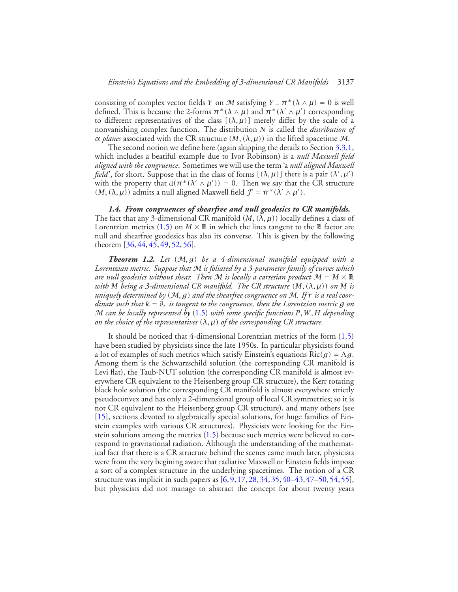consisting of complex vector fields *Y* on M satisfying  $Y \perp \pi^* (\lambda \wedge \mu) = 0$  is well defined. This is because the 2-forms  $\pi^*(\lambda \wedge \mu)$  and  $\pi^*(\lambda' \wedge \mu')$  corresponding to different representatives of the class  $[(\lambda, \mu)]$  merely differ by the scale of a nonvanishing complex function. The distribution *N* is called the *distribution of α planes* associated with the CR structure  $(M, (\lambda, \mu))$  in the lifted spacetime M.

The second notion we define here (again skipping the details to Section [3.3.1,](#page-34-0) which includes a beatiful example due to Ivor Robinson) is a *null Maxwell field aligned with the congruence*. Sometimes we will use the term 'a *null aligned Maxwell field*', for short. Suppose that in the class of forms  $[(\lambda, \mu)]$  there is a pair  $(\lambda', \mu')$ with the property that  $d(\pi^*(\lambda' \wedge \mu')) = 0$ . Then we say that the CR structure *(M, (* $\lambda$ *,*  $\mu$ *)*) admits a null aligned Maxwell field  $\mathcal{F} = \pi^* (\lambda' \wedge \mu')$ .

<span id="page-6-0"></span>*1.4. From congruences of shearfree and null geodesics to CR manifolds.* The fact that any 3-dimensional CR manifold  $(M, (\overline{\lambda}, \mu))$  locally defines a class of Lorentzian metrics [\(1.5\)](#page-4-2) on  $M \times \mathbb{R}$  in which the lines tangent to the  $\mathbb R$  factor are null and shearfree geodesics has also its converse. This is given by the following theorem [\[36,](#page-43-4) [44,](#page-44-4) [45,](#page-44-0) [49,](#page-44-5) [52,](#page-44-1) [56\]](#page-44-3).

<span id="page-6-1"></span>*Theorem 1.2. Let (*M*,g) be a 4-dimensional manifold equipped with a Lorentzian metric. Suppose that* M *is foliated by a 3-parameter family of curves which are null geodesics without shear. Then* M *is locally a cartesian product*  $M = M \times \mathbb{R}$ *with M being a 3-dimensional CR manifold. The CR structure*  $(M, (\lambda, \mu))$  *on M is uniquely determined by (*M*,g) and the shearfree congruence on* M*. If r is a real coordinate such that k* = *∂r is tangent to the congruence, then the Lorentzian metric g on* M *can be locally represented by* [\(1.5\)](#page-4-2) *with some specific functions P,W,H depending on the choice of the representatives (λ, µ) of the corresponding CR structure.*

It should be noticed that 4-dimensional Lorentzian metrics of the form [\(1.5\)](#page-4-2) have been studied by physicists since the late 1950s. In particular physicists found a lot of examples of such metrics which satisfy Einstein's equations  $Ric(g) = \Lambda g$ . Among them is the Schwarzschild solution (the corresponding CR manifold is Levi flat), the Taub-NUT solution (the corresponding CR manifold is almost everywhere CR equivalent to the Heisenberg group CR structure), the Kerr rotating black hole solution (the corresponding CR manifold is almost everywhere strictly pseudoconvex and has only a 2-dimensional group of local CR symmetries; so it is not CR equivalent to the Heisenberg group CR structure), and many others (see [\[15\]](#page-43-5), sections devoted to algebraically special solutions, for huge families of Einstein examples with various CR structures). Physicists were looking for the Einstein solutions among the metrics [\(1.5\)](#page-4-2) because such metrics were believed to correspond to gravitational radiation. Although the understanding of the mathematical fact that there is a CR structure behind the scenes came much later, physicists were from the very begining aware that radiative Maxwell or Einstein fields impose a sort of a complex structure in the underlying spacetimes. The notion of a CR structure was implicit in such papers as [\[6,](#page-42-3)[9,](#page-42-4)[17,](#page-43-6)[28,](#page-43-7)[34,](#page-43-8)[35,](#page-43-9)[40–](#page-44-6)[43,](#page-44-7)[47](#page-44-8)[–50,](#page-44-9)[54,](#page-44-10)[55\]](#page-44-11), but physicists did not manage to abstract the concept for about twenty years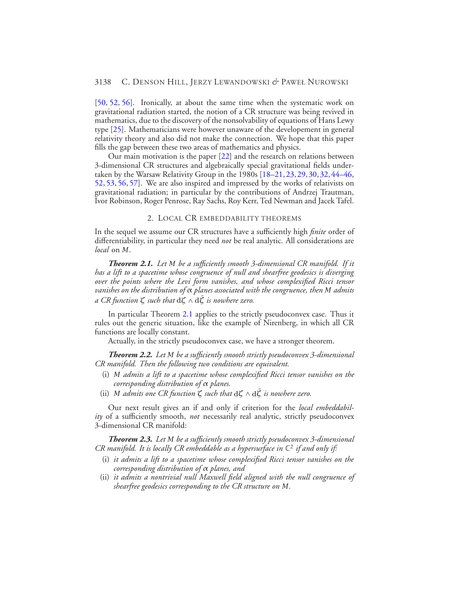[\[50,](#page-44-9) [52,](#page-44-1) [56\]](#page-44-3). Ironically, at about the same time when the systematic work on gravitational radiation started, the notion of a CR structure was being revived in mathematics, due to the discovery of the nonsolvability of equations of Hans Lewy type [\[25\]](#page-43-10). Mathematicians were however unaware of the developement in general relativity theory and also did not make the connection. We hope that this paper fills the gap between these two areas of mathematics and physics.

Our main motivation is the paper [\[22\]](#page-43-11) and the research on relations between 3-dimensional CR structures and algebraically special gravitational fields undertaken by the Warsaw Relativity Group in the 1980s [\[18–](#page-43-12)[21,](#page-43-13)[23,](#page-43-14)[29,](#page-43-15)[30,](#page-43-16)[32,](#page-43-17)[44–](#page-44-4)[46,](#page-44-2) [52,](#page-44-1) [53,](#page-44-12) [56,](#page-44-3) [57\]](#page-44-13). We are also inspired and impressed by the works of relativists on gravitational radiation; in particular by the contributions of Andrzej Trautman, Ivor Robinson, Roger Penrose, Ray Sachs, Roy Kerr, Ted Newman and Jacek Tafel.

2. LOCAL CR EMBEDDABILITY THEOREMS

<span id="page-7-0"></span>In the sequel we assume our CR structures have a sufficiently high *finite* order of differentiability, in particular they need *not* be real analytic. All considerations are *local* on *M*.

<span id="page-7-1"></span>*Theorem 2.1. Let M be a sufficiently smooth 3-dimensional CR manifold. If it has a lift to a spacetime whose congruence of null and shearfree geodesics is diverging over the points where the Levi form vanishes, and whose complexified Ricci tensor vanishes on the distribution of α planes associated with the congruence, then M admits a CR function <sup>ζ</sup> such that* <sup>d</sup>*<sup>ζ</sup>* <sup>∧</sup> <sup>d</sup>*ζ*¯ *is nowhere zero.*

In particular Theorem [2.1](#page-7-1) applies to the strictly pseudoconvex case. Thus it rules out the generic situation, like the example of Nirenberg, in which all CR functions are locally constant.

Actually, in the strictly pseudoconvex case, we have a stronger theorem.

<span id="page-7-2"></span>*Theorem 2.2. Let M be a sufficiently smooth strictly pseudoconvex 3-dimensional CR manifold. Then the following two conditions are equivalent.*

- (i) *M admits a lift to a spacetime whose complexified Ricci tensor vanishes on the corresponding distribution of α planes.*
- (ii) *<sup>M</sup> admits one CR function <sup>ζ</sup> such that* <sup>d</sup>*<sup>ζ</sup>* <sup>∧</sup> <sup>d</sup>*ζ*¯ *is nowhere zero.*

Our next result gives an if and only if criterion for the *local embeddability* of a sufficiently smooth, *not* necessarily real analytic, strictly pseudoconvex 3-dimensional CR manifold:

<span id="page-7-4"></span><span id="page-7-3"></span>*Theorem 2.3. Let M be a sufficiently smooth strictly pseudoconvex 3-dimensional CR manifold. It is locally CR embeddable as a hypersurface in*  $\mathbb{C}^2$  *if and only if:* 

- (i) *it admits a lift to a spacetime whose complexified Ricci tensor vanishes on the corresponding distribution of α planes, and*
- <span id="page-7-5"></span>(ii) *it admits a nontrivial null Maxwell field aligned with the null congruence of shearfree geodesics corresponding to the CR structure on M.*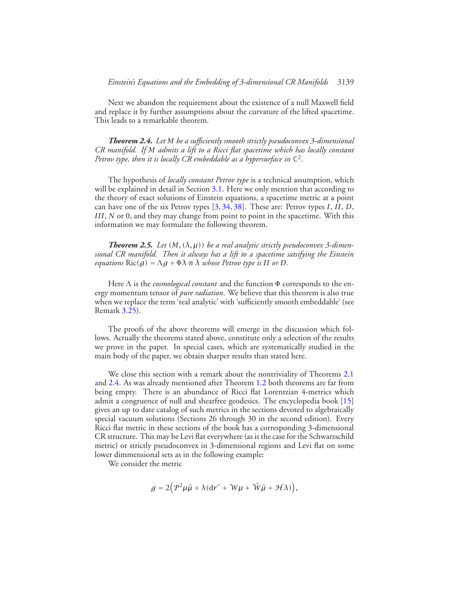<span id="page-8-0"></span>Next we abandon the requirement about the existence of a null Maxwell field and replace it by further assumptions about the curvature of the lifted spacetime. This leads to a remarkable theorem.

*Theorem 2.4. Let M be a sufficiently smooth strictly pseudoconvex 3-dimensional CR manifold. If M admits a lift to a Ricci flat spacetime which has locally constant Petrov type, then it is locally CR embeddable as a hypersurface in*  $\mathbb{C}^2$ .

The hypothesis of *locally constant Petrov type* is a technical assumption, which will be explained in detail in Section [3.1.](#page-10-1) Here we only mention that according to the theory of exact solutions of Einstein equations, a spacetime metric at a point can have one of the six Petrov types [\[3,](#page-42-5) [34,](#page-43-8) [38\]](#page-44-14). These are: Petrov types *I*, *II*, *D*, *III*, *N* or 0, and they may change from point to point in the spacetime. With this information we may formulate the following theorem.

<span id="page-8-1"></span>*Theorem 2.5.* Let  $(M, (\lambda, \mu))$  be a real analytic strictly pseudoconvex 3-dimen*sional CR manifold. Then it always has a lift to a spacetime satsifying the Einstein equations*  $\text{Ric}(q) = \Lambda q + \Phi \lambda \otimes \lambda$  *whose Petrov type is II or D*.

Here <sup>Λ</sup> is the *cosmological constant* and the function <sup>Φ</sup> corresponds to the energy momentum tensor of *pure radiation*. We believe that this theorem is also true when we replace the term 'real analytic' with 'sufficiently smooth embeddable' (see Remark [3.25\)](#page-38-0).

The proofs of the above theorems will emerge in the discussion which follows. Actually the theorems stated above, constitute only a selection of the results we prove in the paper. In special cases, which are systematically studied in the main body of the paper, we obtain sharper results than stated here.

We close this section with a remark about the nontriviality of Theorems [2.1](#page-7-1) and [2.4.](#page-8-0) As was already mentioned after Theorem [1.2](#page-6-1) both theorems are far from being empty. There is an abundance of Ricci flat Lorentzian 4-metrics which admit a congruence of null and shearfree geodesics. The encyclopedia book [\[15\]](#page-43-5) gives an up to date catalog of such metrics in the sections devoted to algebraically special vacuum solutions (Sections 26 through 30 in the second edition). Every Ricci flat metric in these sections of the book has a corresponding 3-dimensional CR structure. This may be Levi flat everywhere (as is the case for the Schwarzschild metric) or strictly pseudoconvex in 3-dimensional regions and Levi flat on some lower dimmensional sets as in the following example:

We consider the metric

$$
g = 2(p^2\mu\bar{\mu} + \lambda(\mathrm{d}r' + \mathcal{W}\mu + \bar{\mathcal{W}}\bar{\mu} + \mathcal{H}\lambda)),
$$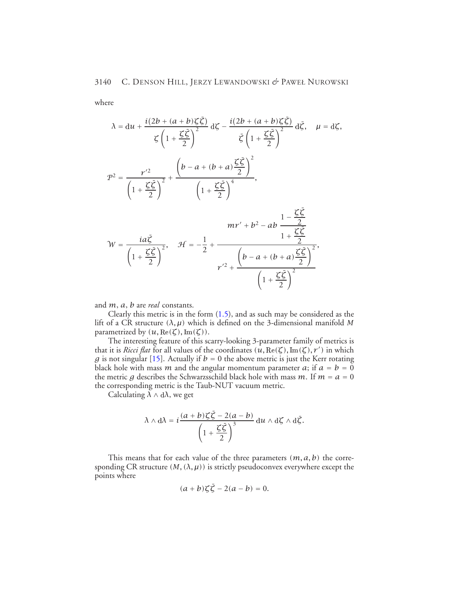where

$$
\lambda = du + \frac{i(2b + (a + b)\zeta\overline{\zeta})}{\zeta\left(1 + \frac{\zeta\overline{\zeta}}{2}\right)^2} d\zeta - \frac{i(2b + (a + b)\zeta\overline{\zeta})}{\overline{\zeta}\left(1 + \frac{\zeta\overline{\zeta}}{2}\right)^2} d\overline{\zeta}, \quad \mu = d\zeta,
$$
\n
$$
T^2 = \frac{r'^2}{\left(1 + \frac{\zeta\overline{\zeta}}{2}\right)^2} + \frac{\left(b - a + (b + a)\frac{\zeta\overline{\zeta}}{2}\right)^2}{\left(1 + \frac{\zeta\overline{\zeta}}{2}\right)^4},
$$
\n
$$
W = \frac{ia\overline{\zeta}}{\left(1 + \frac{\zeta\overline{\zeta}}{2}\right)^2}, \quad H = -\frac{1}{2} + \frac{mv' + b^2 - ab}{\left(1 + \frac{\zeta\overline{\zeta}}{2}\right)^2},
$$
\n
$$
r'^2 + \frac{\left(b - a + (b + a)\frac{\zeta\overline{\zeta}}{2}\right)^2}{\left(1 + \frac{\zeta\overline{\zeta}}{2}\right)^2}.
$$

and *m*, *a*, *b* are *real* constants.

Clearly this metric is in the form [\(1.5\)](#page-4-2), and as such may be considered as the lift of a CR structure  $(\lambda, \mu)$  which is defined on the 3-dimensional manifold *M* parametrized by  $(u, \text{Re}(\zeta), \text{Im}(\zeta)).$ 

The interesting feature of this scarry-looking 3-parameter family of metrics is that it is *Ricci flat* for all values of the coordinates *(u,* Re*(ζ),* Im*(ζ), r* <sup>0</sup> *)* in which *g* is not singular [\[15\]](#page-43-5). Actually if  $b = 0$  the above metric is just the Kerr rotating black hole with mass *m* and the angular momentum parameter *a*; if  $a = b = 0$ the metric *g* describes the Schwarzsschild black hole with mass *m*. If  $m = a = 0$ the corresponding metric is the Taub-NUT vacuum metric.

Calculating  $\lambda \wedge d\lambda$ , we get

$$
\lambda \wedge d\lambda = i \frac{(a+b)\zeta\overline{\zeta} - 2(a-b)}{\left(1 + \frac{\zeta\overline{\zeta}}{2}\right)^3} du \wedge d\zeta \wedge d\overline{\zeta}.
$$

This means that for each value of the three parameters *(m, a, b)* the corresponding CR structure  $(M, (\lambda, \mu))$  is strictly pseudoconvex everywhere except the points where

$$
(a+b)\zeta\overline{\zeta}-2(a-b)=0.
$$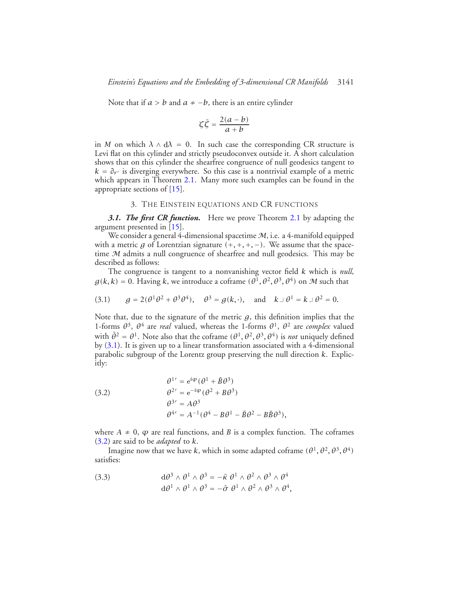Note that if  $a > b$  and  $a \ne -b$ , there is an entire cylinder

$$
\zeta \bar{\zeta} = \frac{2(a-b)}{a+b}
$$

in *M* on which  $\lambda \wedge d\lambda = 0$ . In such case the corresponding CR structure is Levi flat on this cylinder and strictly pseudoconvex outside it. A short calculation shows that on this cylinder the shearfree congruence of null geodesics tangent to  $k = \partial r$  is diverging everywhere. So this case is a nontrivial example of a metric which appears in Theorem [2.1.](#page-7-1) Many more such examples can be found in the appropriate sections of [\[15\]](#page-43-5).

## <span id="page-10-2"></span>3. THE EINSTEIN EQUATIONS AND CR FUNCTIONS

<span id="page-10-1"></span><span id="page-10-0"></span>*3.1. The first CR function.* Here we prove Theorem [2.1](#page-7-1) by adapting the argument presented in [\[15\]](#page-43-5).

We consider a general 4-dimensional spacetime  $M$ , i.e. a 4-manifold equipped with a metric *g* of Lorentzian signature  $(+, +, +, -)$ . We assume that the spacetime M admits a null congruence of shearfree and null geodesics. This may be described as follows:

The congruence is tangent to a nonvanishing vector field *k* which is *null*,  $g(k, k) = 0$ . Having k, we introduce a coframe  $(\theta^1, \theta^2, \theta^3, \theta^4)$  on M such that

(3.1) 
$$
g = 2(\theta^1 \theta^2 + \theta^3 \theta^4), \quad \theta^3 = g(k, \cdot), \text{ and } k \perp \theta^1 = k \perp \theta^2 = 0.
$$

Note that, due to the signature of the metric  $g$ , this definition implies that the 1-forms  $\theta^3$ ,  $\theta^4$  are *real* valued, whereas the 1-forms  $\theta^1$ ,  $\theta^2$  are *complex* valued with  $\bar{\theta}^2 = \theta^1$ . Note also that the coframe  $(\theta^1, \theta^2, \theta^3, \theta^4)$  is *not* uniquely defined by [\(3.1\)](#page-10-2). It is given up to a linear transformation associated with a 4-dimensional parabolic subgroup of the Lorentz group preserving the null direction *k*. Explicitly:

<span id="page-10-3"></span>(3.2)  
\n
$$
\begin{aligned}\n\theta^{1'} &= e^{i\varphi} (\theta^1 + \bar{B}\theta^3) \\
\theta^{2'} &= e^{-i\varphi} (\theta^2 + B\theta^3) \\
\theta^{3'} &= A\theta^3 \\
\theta^{4'} &= A^{-1} (\theta^4 - B\theta^1 - \bar{B}\theta^2 - B\bar{B}\theta^3),\n\end{aligned}
$$

where  $A \neq 0$ ,  $\varphi$  are real functions, and *B* is a complex function. The coframes [\(3.2\)](#page-10-3) are said to be *adapted* to *k*.

Imagine now that we have *k*, which in some adapted coframe  $(\theta^1, \theta^2, \theta^3, \theta^4)$ satisfies:

<span id="page-10-4"></span>(3.3) 
$$
d\theta^3 \wedge \theta^1 \wedge \theta^3 = -\bar{\kappa} \theta^1 \wedge \theta^2 \wedge \theta^3 \wedge \theta^4 d\theta^1 \wedge \theta^1 \wedge \theta^3 = -\bar{\sigma} \theta^1 \wedge \theta^2 \wedge \theta^3 \wedge \theta^4,
$$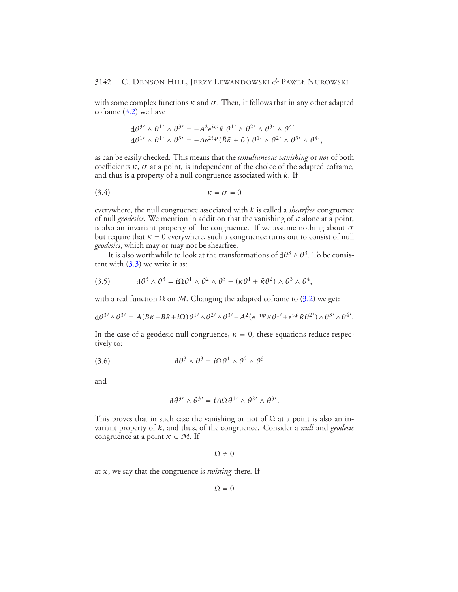with some complex functions  $\kappa$  and  $\sigma$ . Then, it follows that in any other adapted coframe [\(3.2\)](#page-10-3) we have

<span id="page-11-0"></span>
$$
d\theta^{3'} \wedge \theta^{1'} \wedge \theta^{3'} = -A^2 e^{i\varphi} \bar{\kappa} \theta^{1'} \wedge \theta^{2'} \wedge \theta^{3'} \wedge \theta^{4'}
$$
  

$$
d\theta^{1'} \wedge \theta^{1'} \wedge \theta^{3'} = -A e^{2i\varphi} (\bar{B} \bar{\kappa} + \bar{\sigma}) \theta^{1'} \wedge \theta^{2'} \wedge \theta^{3'} \wedge \theta^{4'},
$$

as can be easily checked. This means that the *simultaneous vanishing* or *not* of both coefficients  $\kappa$ ,  $\sigma$  at a point, is independent of the choice of the adapted coframe, and thus is a property of a null congruence associated with *k*. If

$$
\kappa = \sigma = 0
$$

everywhere, the null congruence associated with *k* is called a *shearfree* congruence of null *geodesics*. We mention in addition that the vanishing of *κ* alone at a point, is also an invariant property of the congruence. If we assume nothing about *σ* but require that  $\kappa = 0$  everywhere, such a congruence turns out to consist of null *geodesics*, which may or may not be shearfree.

<span id="page-11-2"></span>It is also worthwhile to look at the transformations of  $d\theta^3 \wedge \theta^3$ . To be consistent with [\(3.3\)](#page-10-4) we write it as:

(3.5) 
$$
d\theta^3 \wedge \theta^3 = i\Omega \theta^1 \wedge \theta^2 \wedge \theta^3 - (\kappa \theta^1 + \bar{\kappa} \theta^2) \wedge \theta^3 \wedge \theta^4,
$$

with a real function  $\Omega$  on M. Changing the adapted coframe to [\(3.2\)](#page-10-3) we get:

$$
d\theta^{3'} \wedge \theta^{3'} = A(\bar{B}\kappa - B\bar{\kappa} + i\Omega)\theta^{1'} \wedge \theta^{2'} \wedge \theta^{3'} - A^2(e^{-i\varphi}\kappa\theta^{1'} + e^{i\varphi}\bar{\kappa}\theta^{2'}) \wedge \theta^{3'} \wedge \theta^{4'}.
$$

<span id="page-11-1"></span>In the case of a geodesic null congruence,  $\kappa \equiv 0$ , these equations reduce respectively to:

(3.6) 
$$
d\theta^3 \wedge \theta^3 = i\Omega \theta^1 \wedge \theta^2 \wedge \theta^3
$$

and

$$
d\theta^{3'} \wedge \theta^{3'} = iA\Omega\theta^{1'} \wedge \theta^{2'} \wedge \theta^{3'}.
$$

This proves that in such case the vanishing or not of  $\Omega$  at a point is also an invariant property of *k*, and thus, of the congruence. Consider a *null* and *geodesic* congruence at a point  $x \in M$ . If

$$
\Omega \neq 0
$$

at *x*, we say that the congruence is *twisting* there. If

$$
\Omega = 0
$$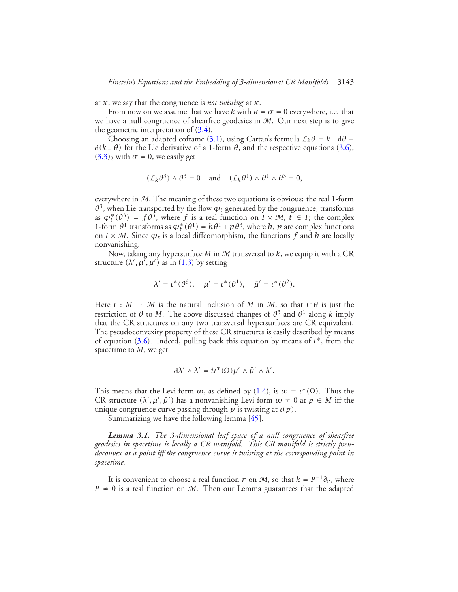at *x*, we say that the congruence is *not twisting* at *x*.

From now on we assume that we have *k* with  $\kappa = \sigma = 0$  everywhere, i.e. that we have a null congruence of shearfree geodesics in M. Our next step is to give the geometric interpretation of [\(3.4\)](#page-11-0).

Choosing an adapted coframe [\(3.1\)](#page-10-2), using Cartan's formula  $\mathcal{L}_k \theta = k \perp d\theta +$  $d(k \perp \theta)$  for the Lie derivative of a 1-form  $\theta$ , and the respective equations [\(3.6\)](#page-11-1),  $(3.3)<sub>2</sub>$  $(3.3)<sub>2</sub>$  with  $\sigma = 0$ , we easily get

$$
(\mathcal{L}_k \theta^3) \wedge \theta^3 = 0
$$
 and  $(\mathcal{L}_k \theta^1) \wedge \theta^1 \wedge \theta^3 = 0$ ,

everywhere in M. The meaning of these two equations is obvious: the real 1-form  $\theta^3$ , when Lie transported by the flow  $\varphi_t$  generated by the congruence, transforms as  $\varphi_t^*(\theta^3) = f\theta^{\tilde{3}}$ , where *f* is a real function on  $I \times \mathcal{M}$ ,  $t \in I$ ; the complex 1-form  $\theta$ <sup>1</sup> transforms as  $\varphi_t^*(\theta^1) = h\theta^1 + p\theta^3$ , where *h*, *p* are complex functions on  $I \times M$ . Since  $\varphi_t$  is a local diffeomorphism, the functions f and h are locally nonvanishing.

Now, taking any hypersurface *M* in M transversal to *k*, we equip it with a CR structure  $(\lambda', \mu', \bar{\mu}')$  as in [\(1.3\)](#page-3-1) by setting

$$
\lambda' = \iota^*(\theta^3), \quad \mu' = \iota^*(\theta^1), \quad \bar{\mu}' = \iota^*(\theta^2).
$$

Here  $\iota : M \to M$  is the natural inclusion of M in M, so that  $\iota^* \theta$  is just the restriction of *θ* to *M*. The above discussed changes of  $θ^3$  and  $θ^1$  along *k* imply that the CR structures on any two transversal hypersurfaces are CR equivalent. The pseudoconvexity property of these CR structures is easily described by means of equation [\(3.6\)](#page-11-1). Indeed, pulling back this equation by means of *ι*<sup>∗</sup>, from the spacetime to *M*, we get

$$
d\lambda' \wedge \lambda' = i\iota^*(\Omega)\mu' \wedge \bar{\mu}' \wedge \lambda'.
$$

This means that the Levi form  $\omega$ , as defined by [\(1.4\)](#page-3-2), is  $\omega = \iota^*(\Omega)$ . Thus the CR structure  $(\lambda', \mu', \bar{\mu}')$  has a nonvanishing Levi form  $\omega \neq 0$  at  $p \in M$  iff the unique congruence curve passing through *p* is twisting at *ι(p)*.

Summarizing we have the following lemma [\[45\]](#page-44-0).

*Lemma 3.1. The 3-dimensional leaf space of a null congruence of shearfree geodesics in spacetime is locally a CR manifold. This CR manifold is strictly pseudoconvex at a point iff the congruence curve is twisting at the corresponding point in spacetime.*

It is convenient to choose a real function *r* on *M*, so that  $k = P^{-1}\partial_r$ , where *P*  $\neq$  0 is a real function on *M*. Then our Lemma guarantees that the adapted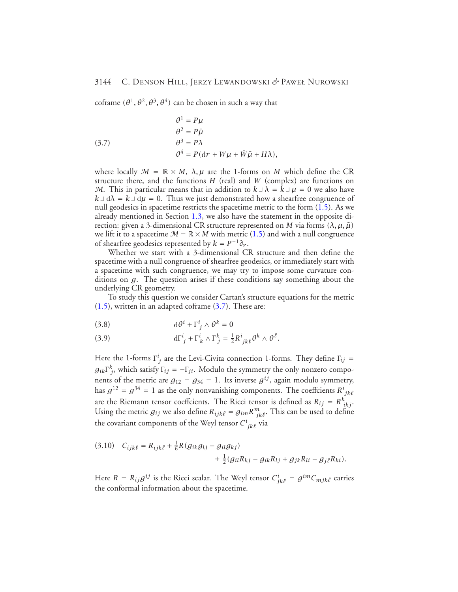coframe  $(\theta^1, \theta^2, \theta^3, \theta^4)$  can be chosen in such a way that

<span id="page-13-0"></span>(3.7)  
\n
$$
\begin{aligned}\n\theta^1 &= P\mu \\
\theta^2 &= P\bar{\mu} \\
\theta^3 &= P\lambda \\
\theta^4 &= P(\mathrm{d}r + W\mu + \bar{W}\bar{\mu} + H\lambda),\n\end{aligned}
$$

where locally  $\mathcal{M} = \mathbb{R} \times M$ ,  $\lambda, \mu$  are the 1-forms on *M* which define the CR structure there, and the functions *H* (real) and *W* (complex) are functions on M. This in particular means that in addition to  $k \perp \lambda = k \perp \mu = 0$  we also have  $k \perp d\lambda = k \perp d\mu = 0$ . Thus we just demonstrated how a shearfree congruence of null geodesics in spacetime restricts the spacetime metric to the form [\(1.5\)](#page-4-2). As we already mentioned in Section [1.3,](#page-4-0) we also have the statement in the opposite direction: given a 3-dimensional CR structure represented on *M* via forms (λ,  $\mu$ ,  $\bar{\mu}$ ) we lift it to a spacetime  $M = \mathbb{R} \times M$  with metric [\(1.5\)](#page-4-2) and with a null congruence of shearfree geodesics represented by  $k = P^{-1} \partial_r$ .

Whether we start with a 3-dimensional CR structure and then define the spacetime with a null congruence of shearfree geodesics, or immediately start with a spacetime with such congruence, we may try to impose some curvature conditions on *g*. The question arises if these conditions say something about the underlying CR geometry.

To study this question we consider Cartan's structure equations for the metric  $(1.5)$ , written in an adapted coframe  $(3.7)$ . These are:

<span id="page-13-1"></span>(3.8) 
$$
d\theta^i + \Gamma^i_{j} \wedge \theta^k = 0
$$

(3.9) 
$$
d\Gamma_j^i + \Gamma_k^i \wedge \Gamma_j^k = \frac{1}{2} R^i_{\ jk\ell} \theta^k \wedge \theta^\ell.
$$

Here the 1-forms  $\Gamma^i_j$  are the Levi-Civita connection 1-forms. They define  $\Gamma_{ij}$  =  $g_{ik}\Gamma_j^k$ , which satisfy  $\Gamma_{ij} = -\Gamma_{ji}$ . Modulo the symmetry the only nonzero components of the metric are  $g_{12} = g_{34} = 1$ . Its inverse  $g^{ij}$ , again modulo symmetry, has  $g^{12} = g^{34} = 1$  as the only nonvanishing components. The coeffcients  $R^i_{\; jk\ell}$ are the Riemann tensor coeffcients. The Ricci tensor is defined as  $R_{ij} = R^k_{\ ikj}$ . Using the metric  $g_{ij}$  we also define  $R_{ijk\ell} = g_{im}R^{m}_{jk\ell}$ . This can be used to define the covariant components of the Weyl tensor  $C^i_{\ jk\ell}$  via

<span id="page-13-3"></span>
$$
(3.10) \quad C_{ijk\ell} = R_{ijk\ell} + \frac{1}{6}R(g_{ik}g_{lj} - g_{il}g_{kj})
$$

$$
+ \frac{1}{2}(g_{il}R_{kj} - g_{ik}R_{lj} + g_{jk}R_{li} - g_{j\ell}R_{ki}).
$$

<span id="page-13-2"></span>Here  $R = R_{ij}g^{ij}$  is the Ricci scalar. The Weyl tensor  $C^i_{jk\ell} = g^{im}C_{mjk\ell}$  carries the conformal information about the spacetime.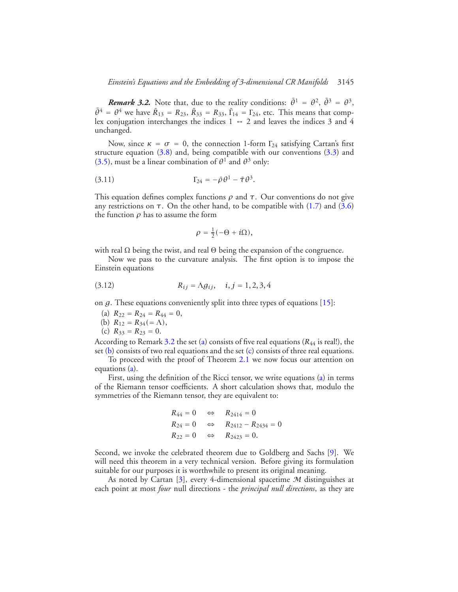*Remark 3.2.* Note that, due to the reality conditions:  $\bar{\theta}^1 = \theta^2$ ,  $\bar{\theta}^3 = \theta^3$ ,  $\bar{\theta}^4 = \theta^4$  we have  $\bar{R}_{13} = R_{23}, \bar{R}_{33} = R_{33}, \bar{\Gamma}_{14} = \Gamma_{24}$ , etc. This means that complex conjugation interchanges the indices  $1 \leftrightarrow 2$  and leaves the indices 3 and 4 unchanged.

Now, since  $\kappa = \sigma = 0$ , the connection 1-form  $\Gamma_{24}$  satisfying Cartan's first structure equation  $(3.8)$  and, being compatible with our conventions  $(3.3)$  and [\(3.5\)](#page-11-2), must be a linear combination of  $\theta^1$  and  $\theta^3$  only:

$$
\Gamma_{24}=-\bar{\rho}\,\theta^1-\bar{\tau}\,\theta^3.
$$

This equation defines complex functions *ρ* and *τ*. Our conventions do not give any restrictions on  $\tau$ . On the other hand, to be compatible with [\(1.7\)](#page-5-1) and [\(3.6\)](#page-11-1) the function *ρ* has to assume the form

<span id="page-14-3"></span>
$$
\rho=\tfrac{1}{2}(-\Theta+i\Omega),
$$

with real  $\Omega$  being the twist, and real  $\Theta$  being the expansion of the congruence.

Now we pass to the curvature analysis. The first option is to impose the Einstein equations

(3.12) 
$$
R_{ij} = \Lambda g_{ij}, \quad i, j = 1, 2, 3, 4
$$

<span id="page-14-1"></span><span id="page-14-0"></span>on *g*. These equations conveniently split into three types of equations [\[15\]](#page-43-5):

(a) 
$$
R_{22} = R_{24} = R_{44} = 0
$$
,

(b) 
$$
R_{12} = R_{34} = \Lambda
$$
,

(c)  $R_{33} = R_{23} = 0.$ 

<span id="page-14-2"></span>According to Remark [3.2](#page-13-2) the set [\(a\)](#page-14-0) consists of five real equations (*R*<sup>44</sup> is real!), the set [\(b\)](#page-14-1) consists of two real equations and the set [\(c\)](#page-14-2) consists of three real equations.

To proceed with the proof of Theorem [2.1](#page-7-1) we now focus our attention on equations [\(a\)](#page-14-0).

First, using the definition of the Ricci tensor, we write equations [\(a\)](#page-14-0) in terms of the Riemann tensor coefficients. A short calculation shows that, modulo the symmetries of the Riemann tensor, they are equivalent to:

$$
R_{44} = 0 \Leftrightarrow R_{2414} = 0
$$
  
\n
$$
R_{24} = 0 \Leftrightarrow R_{2412} - R_{2434} = 0
$$
  
\n
$$
R_{22} = 0 \Leftrightarrow R_{2423} = 0.
$$

Second, we invoke the celebrated theorem due to Goldberg and Sachs [\[9\]](#page-42-4). We will need this theorem in a very technical version. Before giving its formulation suitable for our purposes it is worthwhile to present its original meaning.

As noted by Cartan [\[3\]](#page-42-5), every 4-dimensional spacetime  $M$  distinguishes at each point at most *four* null directions - the *principal null directions*, as they are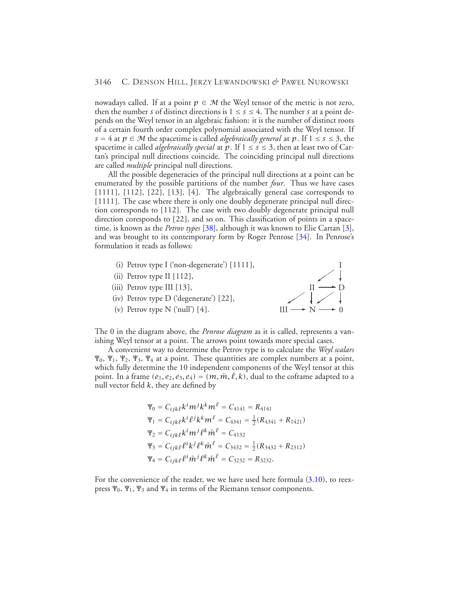nowadays called. If at a point  $p \in M$  the Weyl tensor of the metric is not zero, then the number *s* of distinct directions is  $1 \leq s \leq 4$ . The number *s* at a point depends on the Weyl tensor in an algebraic fashion: it is the number of distinct roots of a certain fourth order complex polynomial associated with the Weyl tensor. If  $s = 4$  at  $p \in \mathcal{M}$  the spacetime is called *algebraically general* at p. If  $1 \leq s \leq 3$ , the spacetime is called *algebraically special* at p. If  $1 \leq s \leq 3$ , then at least two of Cartan's principal null directions coincide. The coinciding principal null directions are called *multiple* principal null directions.

All the possible degeneracies of the principal null directions at a point can be enumerated by the possible partitions of the number *four*. Thus we have cases *[*1111*]*, *[*112*]*, *[*22*]*, *[*13*]*, *[*4*]*. The algebraically general case corresponds to *[*1111*]*. The case where there is only one doubly degenerate principal null direction corresponds to *[*112*]*. The case with two doubly degenerate principal null direction coresponds to *[*22*]*, and so on. This classification of points in a spacetime, is known as the *Petrov types* [\[38\]](#page-44-14), although it was known to Elie Cartan [\[3\]](#page-42-5), and was brought to its contemporary form by Roger Penrose [\[34\]](#page-43-8). In Penrose's formulation it reads as follows:

- (i) Petrov type I ('non-degenerate') *[*1111*]*,
- (ii) Petrov type II *[*112*]*,
- (iii) Petrov type III *[*13*]*,
- (iv) Petrov type D ('degenerate') *[*22*]*,
- (v) Petrov type N ('null') *[*4*]*.



The 0 in the diagram above, the *Penrose diagram* as it is called, represents a vanishing Weyl tensor at a point. The arrows point towards more special cases.

A convenient way to determine the Petrov type is to calculate the *Weyl scalars*  $\Psi_0$ ,  $\Psi_1$ ,  $\Psi_2$ ,  $\Psi_3$ ,  $\Psi_4$  at a point. These quantities are complex numbers at a point, which fully determine the 10 independent components of the Weyl tensor at this point. In a frame  $(e_1, e_2, e_3, e_4) = (m, \overline{m}, \ell, k)$ , dual to the coframe adapted to a null vector field *k*, they are defined by

$$
\Psi_0 = C_{ijk\ell} k^i m^j k^k m^\ell = C_{4141} = R_{4141}
$$
  
\n
$$
\Psi_1 = C_{ijk\ell} k^i \ell^j k^k m^\ell = C_{4341} = \frac{1}{2} (R_{4341} + R_{1421})
$$
  
\n
$$
\Psi_2 = C_{ijk\ell} k^i m^j \ell^k \bar{m}^\ell = C_{4132}
$$
  
\n
$$
\Psi_3 = C_{ijk\ell} \ell^i k^j \ell^k \bar{m}^\ell = C_{3432} = \frac{1}{2} (R_{3432} + R_{2312})
$$
  
\n
$$
\Psi_4 = C_{ijk\ell} \ell^i \bar{m}^j \ell^k \bar{m}^\ell = C_{3232} = R_{3232}.
$$

For the convenience of the reader, we we have used here formula  $(3.10)$ , to reexpress  $\Psi_0$ ,  $\Psi_1$ ,  $\Psi_3$  and  $\Psi_4$  in terms of the Riemann tensor components.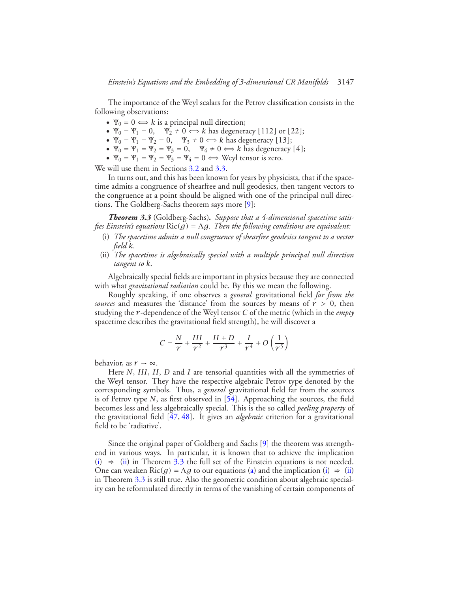The importance of the Weyl scalars for the Petrov classification consists in the following observations:

- $\Psi_0 = 0 \Leftrightarrow k$  is a principal null direction;
- $\Psi_0 = \Psi_1 = 0$ ,  $\Psi_2 \neq 0 \Leftrightarrow k$  has degeneracy [112] or [22];
- $\Psi_0 = \Psi_1 = \Psi_2 = 0$ ,  $\Psi_3 \neq 0 \Leftrightarrow k$  has degeneracy [13];
- $\Psi_0 = \Psi_1 = \Psi_2 = \Psi_3 = 0$ ,  $\Psi_4 \neq 0 \Leftrightarrow k$  has degeneracy [4];
- $\Psi_0 = \Psi_1 = \Psi_2 = \Psi_3 = \Psi_4 = 0 \Leftrightarrow$  Weyl tensor is zero.

We will use them in Sections [3.2](#page-21-0) and [3.3.](#page-29-0)

In turns out, and this has been known for years by physicists, that if the spacetime admits a congruence of shearfree and null geodesics, then tangent vectors to the congruence at a point should be aligned with one of the principal null directions. The Goldberg-Sachs theorem says more [\[9\]](#page-42-4):

<span id="page-16-2"></span><span id="page-16-0"></span>*Theorem 3.3* (Goldberg-Sachs)*. Suppose that a 4-dimensional spacetime satisfies Einstein's equations* Ric*(g)* <sup>=</sup> <sup>Λ</sup>*g. Then the following conditions are equivalent:*

- (i) *The spacetime admits a null congruence of shearfree geodesics tangent to a vector field k.*
- <span id="page-16-1"></span>(ii) *The spacetime is algebraically special with a multiple principal null direction tangent to k.*

Algebraically special fields are important in physics because they are connected with what *gravitational radiation* could be. By this we mean the following.

Roughly speaking, if one observes a *general* gravitational field *far from the sources* and measures the 'distance' from the sources by means of *r >* 0, then studying the *r* -dependence of the Weyl tensor *C* of the metric (which in the *empty* spacetime describes the gravitational field strength), he will discover a

$$
C = \frac{N}{r} + \frac{III}{r^2} + \frac{II+D}{r^3} + \frac{I}{r^4} + O\left(\frac{1}{r^5}\right)
$$

behavior, as  $r \to \infty$ .

Here *N*, *III*, *II*, *D* and *I* are tensorial quantities with all the symmetries of the Weyl tensor. They have the respective algebraic Petrov type denoted by the corresponding symbols. Thus, a *general* gravitational field far from the sources is of Petrov type *N*, as first observed in [\[54\]](#page-44-10). Approaching the sources, the field becomes less and less algebraically special. This is the so called *peeling property* of the gravitational field [\[47,](#page-44-8) [48\]](#page-44-15). It gives an *algebraic* criterion for a gravitational field to be 'radiative'.

Since the original paper of Goldberg and Sachs [\[9\]](#page-42-4) the theorem was strengthend in various ways. In particular, it is known that to achieve the implication [\(i\)](#page-16-0)  $\Rightarrow$  [\(ii\)](#page-16-1) in Theorem [3.3](#page-16-2) the full set of the Einstein equations is not needed. One can weaken Ric(g) =  $\Lambda$ g to our equations [\(a\)](#page-14-0) and the implication [\(i\)](#page-16-0)  $\Rightarrow$  [\(ii\)](#page-16-1) in Theorem [3.3](#page-16-2) is still true. Also the geometric condition about algebraic speciality can be reformulated directly in terms of the vanishing of certain components of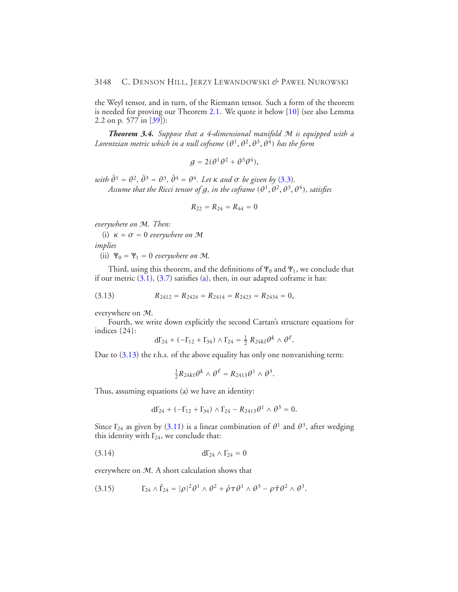the Weyl tensor, and in turn, of the Riemann tensor. Such a form of the theorem is needed for proving our Theorem [2.1.](#page-7-1) We quote it below [\[10\]](#page-42-6) (see also Lemma 2.2 on p. 577 in [\[39\]](#page-44-16)):

*Theorem 3.4. Suppose that a 4-dimensional manifold* M *is equipped with a Lorentzian metric which in a null coframe*  $(\theta^1, \theta^2, \theta^3, \theta^4)$  *has the form* 

$$
g=2(\theta^1\theta^2+\theta^3\theta^4),
$$

 $with \bar{\theta}^1 = \theta^2$ ,  $\bar{\theta}^3 = \theta^3$ ,  $\bar{\theta}^4 = \theta^4$ . Let  $\kappa$  *and*  $\sigma$  *be given by* [\(3.3\)](#page-10-4). *Assume that the Ricci tensor of*  $g$ *, in the coframe*  $(\theta^1, \theta^2, \theta^3, \theta^4)$ *, satisfies* 

<span id="page-17-0"></span>
$$
R_{22}=R_{24}=R_{44}=0
$$

*everywhere on* M*. Then:*

(i)  $\kappa = \sigma = 0$  *everywhere on* M

*implies*

(ii)  $\Psi_0 = \Psi_1 = 0$  *everywhere on* M.

Third, using this theorem, and the definitions of  $\Psi_0$  and  $\Psi_1$ , we conclude that if our metric  $(3.1)$ ,  $(3.7)$  satisfies [\(a\)](#page-14-0), then, in our adapted coframe it has:

$$
(3.13) \t R_{2412} = R_{2424} = R_{2414} = R_{2423} = R_{2434} = 0,
$$

everywhere on M.

Fourth, we write down explicitly the second Cartan's structure equations for indices {24}:

$$
d\Gamma_{24} + (-\Gamma_{12} + \Gamma_{34}) \wedge \Gamma_{24} = \frac{1}{2} R_{24kl} \theta^k \wedge \theta^l.
$$

Due to  $(3.13)$  the r.h.s. of the above equality has only one nonvanishing term:

$$
\frac{1}{2}R_{24kl}\theta^k \wedge \theta^{\ell} = R_{2413}\theta^1 \wedge \theta^3.
$$

Thus, assuming equations (a) we have an identity:

<span id="page-17-2"></span><span id="page-17-1"></span>
$$
d\Gamma_{24} + (-\Gamma_{12} + \Gamma_{34}) \wedge \Gamma_{24} - R_{2413}\theta^1 \wedge \theta^3 = 0.
$$

Since  $\Gamma_{24}$  as given by [\(3.11\)](#page-14-3) is a linear combination of  $\theta^1$  and  $\theta^3$ , after wedging this identity with  $\Gamma_{24}$ , we conclude that:

$$
d\Gamma_{24} \wedge \Gamma_{24} = 0
$$

everywhere on  $M$ . A short calculation shows that

(3.15) 
$$
\Gamma_{24} \wedge \overline{\Gamma}_{24} = |\rho|^2 \theta^1 \wedge \theta^2 + \overline{\rho} \tau \theta^1 \wedge \theta^3 - \rho \overline{\tau} \theta^2 \wedge \theta^3.
$$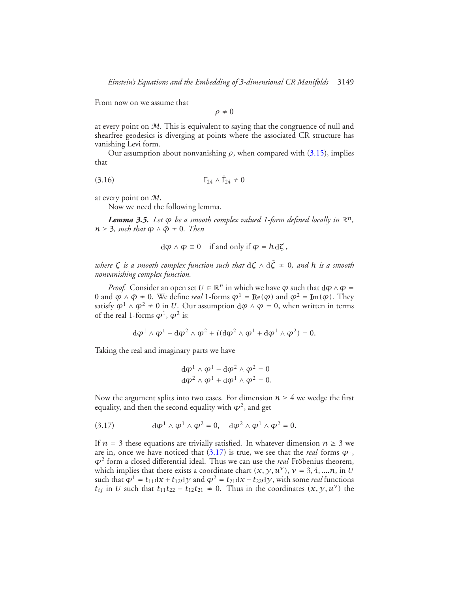From now on we assume that

 $\rho \neq 0$ 

at every point on M. This is equivalent to saying that the congruence of null and shearfree geodesics is diverging at points where the associated CR structure has vanishing Levi form.

<span id="page-18-1"></span>Our assumption about nonvanishing  $\rho$ , when compared with [\(3.15\)](#page-17-1), implies that

$$
(3.16) \t\t \t\t \Gamma_{24} \wedge \overline{\Gamma}_{24} \neq 0
$$

<span id="page-18-2"></span>at every point on M.

Now we need the following lemma.

*Lemma 3.5. Let*  $\varphi$  *be a smooth complex valued 1-form defined locally in*  $\mathbb{R}^n$ ,  $n \geq 3$ *, such that*  $\varphi \wedge \bar{\varphi} \neq 0$ *. Then* 

$$
d\varphi \wedge \varphi \equiv 0 \quad \text{if and only if } \varphi = h \, d\zeta \, ,
$$

*where*  $\zeta$  *is a smooth complex function such that*  $d\zeta \wedge d\overline{\zeta} \neq 0$ *, and h is a smooth nonvanishing complex function.*

*Proof.* Consider an open set  $U \in \mathbb{R}^n$  in which we have  $\varphi$  such that  $d\varphi \wedge \varphi =$ 0 and  $\varphi \wedge \bar{\varphi} \neq 0$ . We define *real* 1-forms  $\varphi^1 = \text{Re}(\varphi)$  and  $\varphi^2 = \text{Im}(\varphi)$ . They satisfy  $\varphi^1 \wedge \varphi^2 \neq 0$  in *U*. Our assumption  $d\varphi \wedge \varphi = 0$ , when written in terms of the real 1-forms  $\varphi^1$ ,  $\varphi^2$  is:

$$
d\varphi^1 \wedge \varphi^1 - d\varphi^2 \wedge \varphi^2 + i(d\varphi^2 \wedge \varphi^1 + d\varphi^1 \wedge \varphi^2) = 0.
$$

Taking the real and imaginary parts we have

<span id="page-18-0"></span>
$$
d\varphi^{1} \wedge \varphi^{1} - d\varphi^{2} \wedge \varphi^{2} = 0
$$
  

$$
d\varphi^{2} \wedge \varphi^{1} + d\varphi^{1} \wedge \varphi^{2} = 0.
$$

Now the argument splits into two cases. For dimension  $n \geq 4$  we wedge the first equality, and then the second equality with  $\varphi^2$ , and get

(3.17) 
$$
\mathrm{d}\varphi^1\wedge\varphi^1\wedge\varphi^2=0, \quad \mathrm{d}\varphi^2\wedge\varphi^1\wedge\varphi^2=0.
$$

If  $n = 3$  these equations are trivially satisfied. In whatever dimension  $n \geq 3$  we are in, once we have noticed that  $(3.17)$  is true, we see that the *real* forms  $\varphi^1$ , *ϕ*<sup>2</sup> form a closed differential ideal. Thus we can use the *real* Frobenius theorem, ¨ which implies that there exists a coordinate chart  $(x, y, u^{\gamma})$ ,  $\nu = 3, 4, \dots n$ , in *U* such that  $\varphi^1 = t_{11}dx + t_{12}dy$  and  $\varphi^2 = t_{21}dx + t_{22}dy$ , with some *real* functions *t<sub>ij</sub>* in *U* such that  $t_{11}t_{22} - t_{12}t_{21} \neq 0$ . Thus in the coordinates  $(x, y, u^{\nu})$  the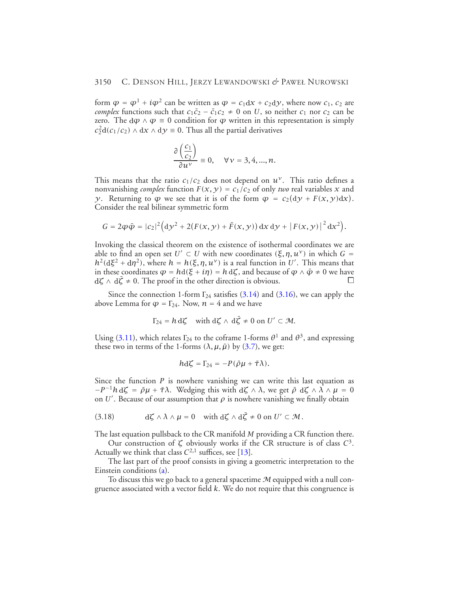form  $\varphi = \varphi^1 + i\varphi^2$  can be written as  $\varphi = c_1 dx + c_2 dy$ , where now  $c_1$ ,  $c_2$  are *complex* functions such that  $c_1\bar{c}_2 - \bar{c}_1c_2 \neq 0$  on *U*, so neither  $c_1$  nor  $c_2$  can be zero. The  $d\varphi \wedge \varphi = 0$  condition for  $\varphi$  written in this representation is simply  $c_2^2 d(c_1/c_2) \wedge dx \wedge dy \equiv 0$ . Thus all the partial derivatives

$$
\frac{\partial \left(\frac{c_1}{c_2}\right)}{\partial u^{\nu}} \equiv 0, \quad \forall \nu = 3, 4, ..., n.
$$

This means that the ratio  $c_1/c_2$  does not depend on  $u^{\nu}$ . This ratio defines a nonvanishing *complex* function  $F(x, y) = c_1/c_2$  of only *two* real variables x and *y*. Returning to  $\varphi$  we see that it is of the form  $\varphi = c_2(dy + F(x, y)dx)$ . Consider the real bilinear symmetric form

$$
G = 2\varphi \tilde{\varphi} = |c_2|^2 \Big( \mathrm{d} y^2 + 2 \big( F(x, y) + \bar{F}(x, y) \big) \, \mathrm{d} x \, \mathrm{d} y + \big| F(x, y) \big|^2 \, \mathrm{d} x^2 \Big).
$$

Invoking the classical theorem on the existence of isothermal coordinates we are able to find an open set  $U' \subset U$  with new coordinates  $(\xi, \eta, u^{\nu})$  in which  $G =$  $h^2(d\xi^2 + d\eta^2)$ , where  $h = h(\xi, \eta, u^{\gamma})$  is a real function in U'. This means that in these coordinates  $\varphi = hd(\xi + i\eta) = h d\zeta$ , and because of  $\varphi \wedge \bar{\varphi} \neq 0$  we have  $d\zeta \wedge d\zeta \neq 0$ . The proof in the other direction is obvious.

Since the connection 1-form  $\Gamma_{24}$  satisfies [\(3.14\)](#page-17-2) and [\(3.16\)](#page-18-1), we can apply the above Lemma for  $\varphi = \Gamma_{24}$ . Now,  $n = 4$  and we have

$$
\Gamma_{24} = h \, d\zeta \quad \text{with } d\zeta \wedge d\bar{\zeta} \neq 0 \text{ on } U' \subset \mathcal{M}.
$$

Using [\(3.11\)](#page-14-3), which relates  $\Gamma_{24}$  to the coframe 1-forms  $\theta^1$  and  $\theta^3$ , and expressing these two in terms of the 1-forms  $(\lambda, \mu, \bar{\mu})$  by [\(3.7\)](#page-13-0), we get:

<span id="page-19-0"></span>
$$
h\mathrm{d}\zeta=\Gamma_{24}=-P(\bar{\rho}\mu+\bar{\tau}\lambda).
$$

Since the function *P* is nowhere vanishing we can write this last equation as  $-P^{-1}h d\zeta = \bar{\rho}\mu + \bar{\tau}\lambda$ . Wedging this with  $d\zeta \wedge \lambda$ , we get  $\bar{\rho} d\zeta \wedge \lambda \wedge \mu = 0$ on  $U'$ . Because of our assumption that  $\rho$  is nowhere vanishing we finally obtain

(3.18) 
$$
d\zeta \wedge \lambda \wedge \mu = 0 \quad \text{with } d\zeta \wedge d\overline{\zeta} \neq 0 \text{ on } U' \subset \mathcal{M}.
$$

The last equation pullsback to the CR manifold *M* providing a CR function there.

Our construction of *ζ* obviously works if the CR structure is of class *C*3. Actually we think that class  $C^{2,1}$  suffices, see [\[13\]](#page-43-18).

The last part of the proof consists in giving a geometric interpretation to the Einstein conditions [\(a\)](#page-14-0).

To discuss this we go back to a general spacetime  $M$  equipped with a null congruence associated with a vector field *k*. We do not require that this congruence is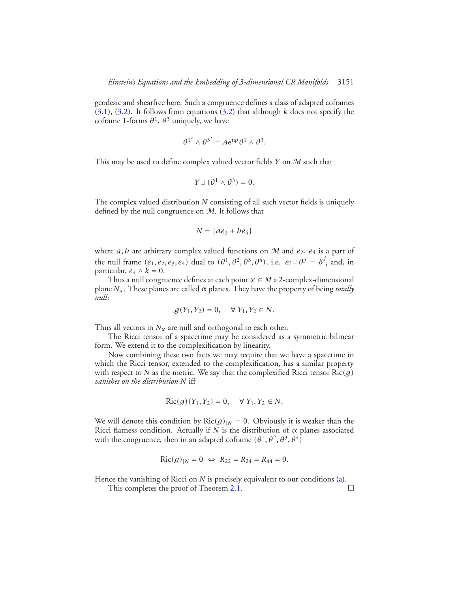geodesic and shearfree here. Such a congruence defines a class of adapted coframes  $(3.1)$ ,  $(3.2)$ . It follows from equations  $(3.2)$  that although *k* does not specify the coframe 1-forms  $\theta^1$ ,  $\theta^3$  uniquely, we have

$$
\theta^{1'} \wedge \theta^{3'} = A e^{i\varphi} \theta^1 \wedge \theta^3.
$$

This may be used to define complex valued vector fields *Y* on M such that

$$
Y \perp (\theta^1 \wedge \theta^3) = 0.
$$

The complex valued distribution *N* consisting of all such vector fields is uniquely defined by the null congruence on  $M$ . It follows that

$$
N = \{ae_2 + be_4\}
$$

where  $a, b$  are arbitrary complex valued functions on M and  $e_2, e_4$  is a part of the null frame  $(e_1, e_2, e_3, e_4)$  dual to  $(\theta^1, \theta^2, \theta^3, \theta^4)$ , i.e.  $e_i \perp \theta^j = \delta^j_i$  and, in particular,  $e_4 \wedge k = 0$ .

Thus a null congruence defines at each point  $x \in M$  a 2-complex-dimensional plane *Nx*. These planes are called *α* planes. They have the property of being *totally null*:

$$
g(Y_1, Y_2) = 0, \quad \forall Y_1, Y_2 \in N.
$$

Thus all vectors in  $N_x$  are null and orthogonal to each other.

The Ricci tensor of a spacetime may be considered as a symmetric bilinear form. We extend it to the complexification by linearity.

Now combining these two facts we may require that we have a spacetime in which the Ricci tensor, extended to the complexification, has a similar property with respect to *N* as the metric. We say that the complexified Ricci tensor Ric*(g) vanishes on the distribution N* iff

$$
Ric(g)(Y_1, Y_2) = 0, \quad \forall Y_1, Y_2 \in N.
$$

We will denote this condition by  $Ric(g)|_N = 0$ . Obviously it is weaker than the Ricci flatness condition. Actually if *N* is the distribution of *α* planes associated with the congruence, then in an adapted coframe  $(\theta^1, \theta^2, \theta^3, \theta^4)$ 

$$
Ric(g)_{|N} = 0 \Leftrightarrow R_{22} = R_{24} = R_{44} = 0.
$$

Hence the vanishing of Ricci on *N* is precisely equivalent to our conditions [\(a\)](#page-14-0).

This completes the proof of Theorem [2.1.](#page-7-1)  $\Box$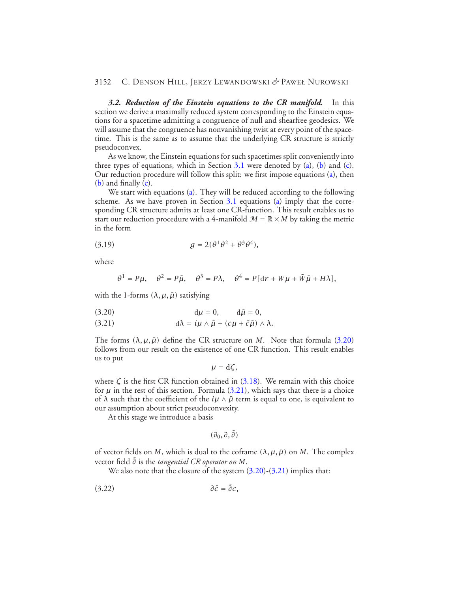<span id="page-21-0"></span>*3.2. Reduction of the Einstein equations to the CR manifold.* In this section we derive a maximally reduced system corresponding to the Einstein equations for a spacetime admitting a congruence of null and shearfree geodesics. We will assume that the congruence has nonvanishing twist at every point of the spacetime. This is the same as to assume that the underlying CR structure is strictly pseudoconvex.

As we know, the Einstein equations for such spacetimes split conveniently into three types of equations, which in Section [3.1](#page-10-1) were denoted by  $(a)$ ,  $(b)$  and  $(c)$ . Our reduction procedure will follow this split: we first impose equations [\(a\)](#page-14-0), then  $(b)$  and finally  $(c)$ .

We start with equations [\(a\)](#page-14-0). They will be reduced according to the following scheme. As we have proven in Section  $3.1$  equations [\(a\)](#page-14-0) imply that the corresponding CR structure admits at least one CR-function. This result enables us to start our reduction procedure with a 4-manifold  $\mathcal{M} = \mathbb{R} \times M$  by taking the metric in the form

<span id="page-21-2"></span>(3.19) 
$$
g = 2(\theta^1 \theta^2 + \theta^3 \theta^4),
$$

where

$$
\theta^1 = P\mu, \quad \theta^2 = P\bar{\mu}, \quad \theta^3 = P\lambda, \quad \theta^4 = P[\mathrm{d}r + W\mu + \bar{W}\bar{\mu} + H\lambda],
$$

with the 1-forms  $(\lambda, \mu, \bar{\mu})$  satisfying

<span id="page-21-1"></span>(3.20) 
$$
d\mu = 0
$$
,  $d\bar{\mu} = 0$ ,

(3.21) 
$$
d\lambda = i\mu \wedge \bar{\mu} + (c\mu + \bar{c}\bar{\mu}) \wedge \lambda.
$$

The forms  $(\lambda, \mu, \bar{\mu})$  define the CR structure on *M*. Note that formula [\(3.20\)](#page-21-1) follows from our result on the existence of one CR function. This result enables us to put

$$
\mu=\mathrm{d}\zeta,
$$

where  $\zeta$  is the first CR function obtained in [\(3.18\)](#page-19-0). We remain with this choice for  $\mu$  in the rest of this section. Formula [\(3.21\)](#page-21-1), which says that there is a choice of  $\lambda$  such that the coefficient of the  $i\mu \wedge \bar{\mu}$  term is equal to one, is equivalent to our assumption about strict pseudoconvexity.

At this stage we introduce a basis

<span id="page-21-3"></span>
$$
(\partial_0,\partial,\bar\partial)
$$

of vector fields on *M*, which is dual to the coframe  $(\lambda, \mu, \bar{\mu})$  on *M*. The complex vector field ¯ *∂* is the *tangential CR operator on M*.

We also note that the closure of the system  $(3.20)$ - $(3.21)$  implies that:

$$
\partial \bar{c} = \bar{\partial} c,
$$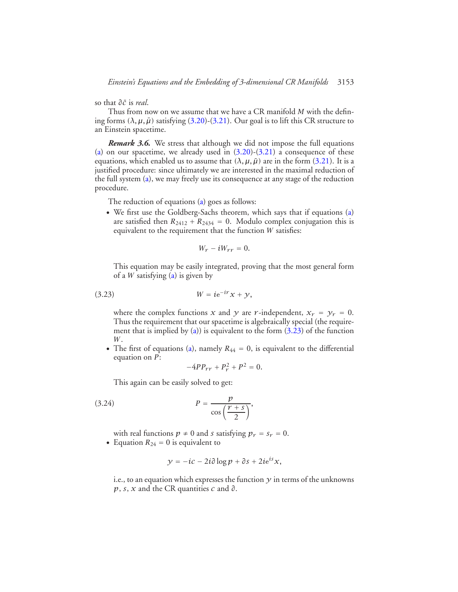so that *∂c*¯ is *real*.

Thus from now on we assume that we have a CR manifold *M* with the defining forms  $(\lambda, \mu, \bar{\mu})$  satisfying  $(3.20)$ - $(3.21)$ . Our goal is to lift this CR structure to an Einstein spacetime.

*Remark 3.6.* We stress that although we did not impose the full equations [\(a\)](#page-14-0) on our spacetime, we already used in  $(3.20)-(3.21)$  $(3.20)-(3.21)$  $(3.20)-(3.21)$  a consequence of these equations, which enabled us to assume that  $(\lambda, \mu, \bar{\mu})$  are in the form [\(3.21\)](#page-21-1). It is a justified procedure: since ultimately we are interested in the maximal reduction of the full system [\(a\)](#page-14-0), we may freely use its consequence at any stage of the reduction procedure.

The reduction of equations [\(a\)](#page-14-0) goes as follows:

• We first use the Goldberg-Sachs theorem, which says that if equations [\(a\)](#page-14-0) are satisfied then  $R_{2412} + R_{2434} = 0$ . Modulo complex conjugation this is equivalent to the requirement that the function *W* satisfies:

<span id="page-22-0"></span>
$$
W_r - iW_{rr} = 0.
$$

This equation may be easily integrated, proving that the most general form of a *W* satisfying [\(a\)](#page-14-0) is given by

$$
(3.23) \t\t W = i e^{-i r} x + y,
$$

where the complex functions *x* and *y* are *r*-independent,  $x_r = y_r = 0$ . Thus the requirement that our spacetime is algebraically special (the require-ment that is implied by [\(a\)](#page-14-0)) is equivalent to the form  $(3.23)$  of the function *W*.

• The first of equations [\(a\)](#page-14-0), namely  $R_{44} = 0$ , is equivalent to the differential equation on *P*:

<span id="page-22-1"></span>
$$
-4PP_{rr} + P_r^2 + P^2 = 0.
$$

This again can be easily solved to get:

$$
(3.24) \t\t P = \frac{p}{\cos\left(\frac{r+s}{2}\right)},
$$

with real functions  $p \neq 0$  and *s* satisfying  $p_r = s_r = 0$ .

• Equation  $R_{24} = 0$  is equivalent to

$$
y = -ic - 2i\partial \log p + \partial s + 2ie^{is}x,
$$

i.e., to an equation which expresses the function  $\gamma$  in terms of the unknowns *p*, *s*, *x* and the CR quantities *c* and *∂*.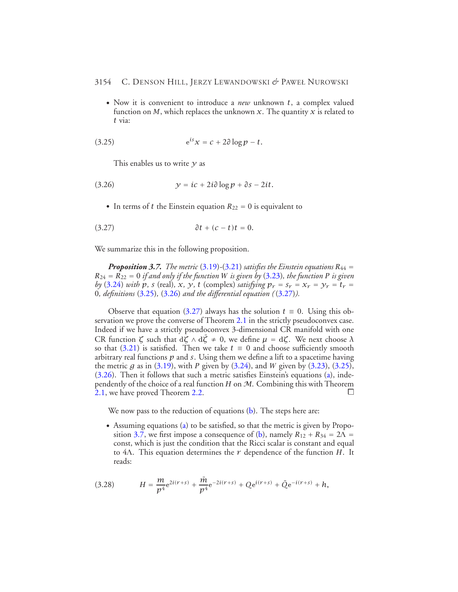<span id="page-23-0"></span>• Now it is convenient to introduce a *new* unknown *t*, a complex valued function on *M*, which replaces the unknown *x*. The quantity *x* is related to *t* via:

$$
(3.25) \qquad \qquad e^{is}x = c + 2\partial \log p - t.
$$

<span id="page-23-2"></span><span id="page-23-1"></span>This enables us to write *y* as

$$
(3.26) \t y = ic + 2i\partial \log p + \partial s - 2it.
$$

• In terms of *t* the Einstein equation  $R_{22} = 0$  is equivalent to

$$
\partial t + (c - t)t = 0.
$$

<span id="page-23-3"></span>We summarize this in the following proposition.

*Proposition 3.7. The metric* [\(3.19\)](#page-21-2)-[\(3.21\)](#page-21-1) *satisfies the Einstein equations*  $R_{44}$  =  $R_{24} = R_{22} = 0$  *if and only if the function W is given by* [\(3.23\)](#page-22-0), the function *P is given by* [\(3.24\)](#page-22-1) *with*  $p$ *, s* (real)*,*  $x$ *,*  $y$ *,*  $t$  (complex) *satisfying*  $p_r = s_r = x_r = y_r = t_r =$ 0*, definitions* [\(3.25\)](#page-23-0)*,* [\(3.26\)](#page-23-1) *and the differential equation (*[\(3.27\)](#page-23-2)*).*

Observe that equation [\(3.27\)](#page-23-2) always has the solution  $t \equiv 0$ . Using this ob-servation we prove the converse of Theorem [2.1](#page-7-1) in the strictly pseudoconvex case. Indeed if we have a strictly pseudoconvex 3-dimensional CR manifold with one CR function *<sup>ζ</sup>* such that <sup>d</sup>*<sup>ζ</sup>* <sup>∧</sup> <sup>d</sup>*ζ*¯ <sup>≠</sup> 0, we define *<sup>µ</sup>* <sup>=</sup> <sup>d</sup>*ζ*. We next choose *<sup>λ</sup>* so that [\(3.21\)](#page-21-1) is satisfied. Then we take  $t \equiv 0$  and choose sufficiently smooth arbitrary real functions *p* and *s*. Using them we define a lift to a spacetime having the metric *g* as in [\(3.19\)](#page-21-2), with *P* given by  $(3.24)$ , and *W* given by  $(3.23)$ ,  $(3.25)$ , [\(3.26\)](#page-23-1). Then it follows that such a metric satisfies Einstein's equations [\(a\)](#page-14-0), independently of the choice of a real function *H* on M. Combining this with Theorem [2.1,](#page-7-1) we have proved Theorem [2.2.](#page-7-2)  $\Box$ 

We now pass to the reduction of equations  $(b)$ . The steps here are:

• Assuming equations [\(a\)](#page-14-0) to be satisfied, so that the metric is given by Propo-sition [3.7,](#page-23-3) we first impose a consequence of [\(b\)](#page-14-1), namely  $R_{12} + R_{34} = 2\Lambda$  = const, which is just the condition that the Ricci scalar is constant and equal to 4Λ. This equation determines the *<sup>r</sup>* dependence of the function *<sup>H</sup>*. It reads:

<span id="page-23-4"></span>(3.28) 
$$
H = \frac{m}{p^4}e^{2i(r+s)} + \frac{\bar{m}}{p^4}e^{-2i(r+s)} + Qe^{i(r+s)} + \bar{Q}e^{-i(r+s)} + h,
$$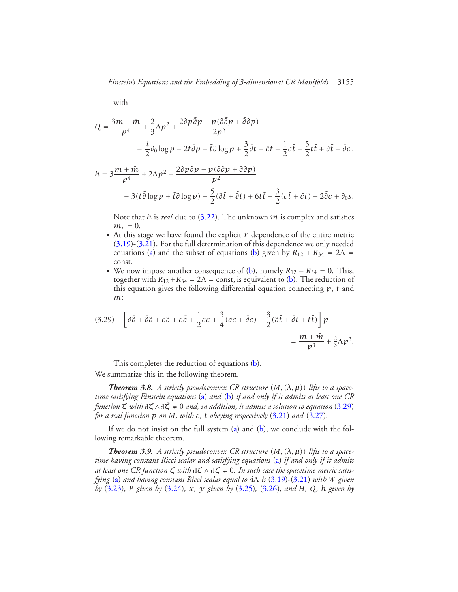with

$$
Q = \frac{3m + \bar{m}}{p^4} + \frac{2}{3}\Lambda p^2 + \frac{2\partial p\bar{\partial}p - p(\partial\bar{\partial}p + \bar{\partial}\partial p)}{2p^2}
$$
  
 
$$
- \frac{i}{2}\partial_0 \log p - 2t\bar{\partial}p - \bar{t}\partial \log p + \frac{3}{2}\bar{\partial}t - \bar{c}t - \frac{1}{2}c\bar{t} + \frac{5}{2}t\bar{t} + \partial\bar{t} - \bar{\partial}c,
$$
  

$$
h = 3\frac{m + \bar{m}}{p^4} + 2\Lambda p^2 + \frac{2\partial p\bar{\partial}p - p(\partial\bar{\partial}p + \bar{\partial}\partial p)}{p^2}
$$
  

$$
- 3(t\bar{\partial}\log p + \bar{t}\partial\log p) + \frac{5}{2}(\partial\bar{t} + \bar{\partial}t) + 6t\bar{t} - \frac{3}{2}(c\bar{t} + \bar{c}t) - 2\bar{\partial}c + \partial_0s.
$$

Note that *h* is *real* due to [\(3.22\)](#page-21-3). The unknown *m* is complex and satisfies  $m_r = 0$ .

- At this stage we have found the explicit  $r$  dependence of the entire metric [\(3.19\)](#page-21-2)-[\(3.21\)](#page-21-1). For the full determination of this dependence we only needed equations [\(a\)](#page-14-0) and the subset of equations [\(b\)](#page-14-1) given by  $R_{12} + R_{34} = 2\Lambda$ const.
- We now impose another consequence of [\(b\)](#page-14-1), namely  $R_{12} R_{34} = 0$ . This, together with  $R_{12} + R_{34} = 2\Lambda$  = const, is equivalent to [\(b\)](#page-14-1). The reduction of this equation gives the following differential equation connecting *p*, *t* and *m*:

<span id="page-24-0"></span>
$$
(3.29) \quad \left[ \partial \bar{\partial} + \bar{\partial} \partial + \bar{c} \partial + c \bar{\partial} + \frac{1}{2} c \bar{c} + \frac{3}{4} (\partial \bar{c} + \bar{\partial} c) - \frac{3}{2} (\partial \bar{t} + \bar{\partial} t + t \bar{t}) \right] p
$$
\n
$$
= \frac{m + \bar{m}}{p^3} + \frac{2}{3} \Delta p^3.
$$

This completes the reduction of equations [\(b\)](#page-14-1). We summarize this in the following theorem.

*Theorem 3.8.* A strictly pseudoconvex CR structure  $(M, (\lambda, \mu))$  lifts to a space*time satisfying Einstein equations* [\(a\)](#page-14-0) *and* [\(b\)](#page-14-1) *if and only if it admits at least one CR function*  $\zeta$  *with*  $d\zeta \wedge d\overline{\zeta} \neq 0$  *and, in addition, it admits a solution to equation* [\(3.29\)](#page-24-0) *for a real function p on M, with c, t obeying respectively* [\(3.21\)](#page-21-1) *and* [\(3.27\)](#page-23-2)*.*

If we do not insist on the full system  $(a)$  and  $(b)$ , we conclude with the following remarkable theorem.

<span id="page-24-1"></span>*Theorem 3.9.* A strictly pseudoconvex CR structure  $(M, (\lambda, \mu))$  lifts to a space*time having constant Ricci scalar and satisfying equations* [\(a\)](#page-14-0) *if and only if it admits* at least one CR function  $\zeta$  with  $d\zeta \wedge d\zeta \neq 0$ . In such case the spacetime metric satis*fying* [\(a\)](#page-14-0) *and having constant Ricci scalar equal to* 4<sup>Λ</sup> *is* [\(3.19\)](#page-21-2)*-*[\(3.21\)](#page-21-1) *with <sup>W</sup> given by* [\(3.23\)](#page-22-0)*, P given by* [\(3.24\)](#page-22-1)*, x, y given by* [\(3.25\)](#page-23-0)*,* [\(3.26\)](#page-23-1)*, and H, Q, h given by*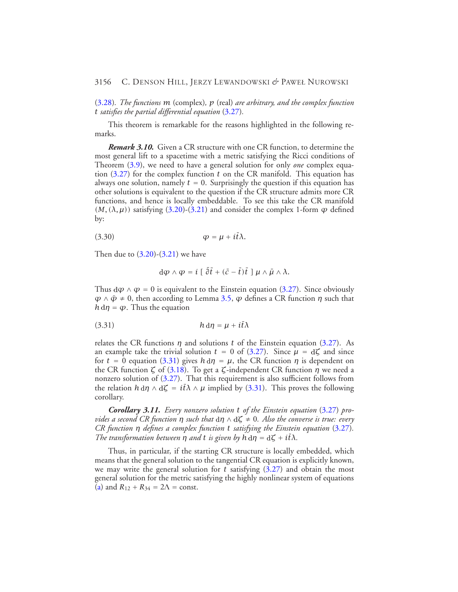[\(3.28\)](#page-23-4)*. The functions m* (complex)*, p* (real) *are arbitrary, and the complex function t satisfies the partial differential equation* [\(3.27\)](#page-23-2)*.*

This theorem is remarkable for the reasons highlighted in the following remarks.

*Remark 3.10.* Given a CR structure with one CR function, to determine the most general lift to a spacetime with a metric satisfying the Ricci conditions of Theorem [\(3.9\)](#page-24-1), we need to have a general solution for only *one* complex equation [\(3.27\)](#page-23-2) for the complex function *t* on the CR manifold. This equation has always one solution, namely  $t = 0$ . Surprisingly the question if this equation has other solutions is equivalent to the question if the CR structure admits more CR functions, and hence is locally embeddable. To see this take the CR manifold  $(M, (\lambda, \mu))$  satisfying [\(3.20\)](#page-21-1)-[\(3.21\)](#page-21-1) and consider the complex 1-form  $\varphi$  defined by:

<span id="page-25-2"></span>
$$
\varphi = \mu + i\bar{t}\lambda.
$$

Then due to  $(3.20)$ - $(3.21)$  we have

<span id="page-25-0"></span>
$$
d\varphi \wedge \varphi = i \left[ \bar{\partial}\bar{t} + (\bar{c} - \bar{t})\bar{t} \right] \mu \wedge \bar{\mu} \wedge \lambda.
$$

Thus  $d\varphi \wedge \varphi = 0$  is equivalent to the Einstein equation [\(3.27\)](#page-23-2). Since obviously  $\varphi \wedge \bar{\varphi} \neq 0$ , then according to Lemma [3.5,](#page-18-2)  $\varphi$  defines a CR function  $\eta$  such that  $h \, d\eta = \varphi$ . Thus the equation

$$
(3.31) \t\t\t\t\t h d\eta = \mu + i\bar{t}\lambda
$$

relates the CR functions *η* and solutions *t* of the Einstein equation [\(3.27\)](#page-23-2). As an example take the trivial solution  $t = 0$  of [\(3.27\)](#page-23-2). Since  $\mu = d\zeta$  and since for  $t = 0$  equation [\(3.31\)](#page-25-0) gives  $h \, d\eta = \mu$ , the CR function  $\eta$  is dependent on the CR function *ζ* of [\(3.18\)](#page-19-0). To get a *ζ*-independent CR function *η* we need a nonzero solution of [\(3.27\)](#page-23-2). That this requirement is also sufficient follows from the relation  $h \, d\eta \wedge d\zeta = i\bar{t}\lambda \wedge \mu$  implied by [\(3.31\)](#page-25-0). This proves the following corollary.

<span id="page-25-1"></span>*Corollary 3.11. Every nonzero solution t of the Einstein equation* [\(3.27\)](#page-23-2) *provides a second CR function η such that* <sup>d</sup>*η* ∧ <sup>d</sup>*ζ* ≠ 0*. Also the converse is true: every CR function η defines a complex function t satisfying the Einstein equation* [\(3.27\)](#page-23-2)*. The transformation between*  $\eta$  *and*  $t$  *is given by*  $\dot{h} d\eta = d\zeta + i\bar{t}\lambda$ *.* 

Thus, in particular, if the starting CR structure is locally embedded, which means that the general solution to the tangential CR equation is explicitly known, we may write the general solution for  $t$  satisfying  $(3.27)$  and obtain the most general solution for the metric satisfying the highly nonlinear system of equations [\(a\)](#page-14-0) and  $R_{12} + R_{34} = 2\Lambda = \text{const.}$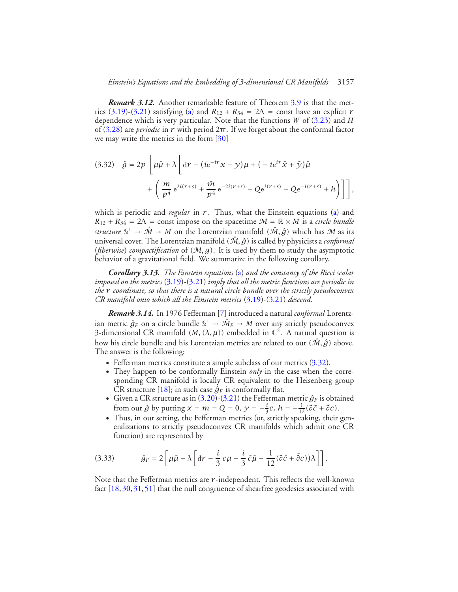*Remark 3.12.* Another remarkable feature of Theorem [3.9](#page-24-1) is that the met-rics [\(3.19\)](#page-21-2)-[\(3.21\)](#page-21-1) satisfying [\(a\)](#page-14-0) and  $R_{12} + R_{34} = 2\Lambda$  = const have an explicit *r* dependence which is very particular. Note that the functions *W* of [\(3.23\)](#page-22-0) and *H* of [\(3.28\)](#page-23-4) are *periodic* in *r* with period 2*π*. If we forget about the conformal factor we may write the metrics in the form [\[30\]](#page-43-16)

<span id="page-26-0"></span>(3.32) 
$$
\hat{g} = 2p \left[ \mu \bar{\mu} + \lambda \left[ \mathrm{d}r + (ie^{-ir}x + y)\mu + (-ie^{ir}\bar{x} + \bar{y})\bar{\mu} + \left( \frac{m}{p^4} e^{2i(r+s)} + \frac{\bar{m}}{p^4} e^{-2i(r+s)} + Q e^{i(r+s)} + \bar{Q} e^{-i(r+s)} + h \right) \right] \right],
$$

which is periodic and *regular* in  $r$ . Thus, what the Einstein equations [\(a\)](#page-14-0) and  $R_{12} + R_{34} = 2\Lambda$  = const impose on the spacetime  $\mathcal{M} = \mathbb{R} \times M$  is a *circle bundle structure*  $\mathbb{S}^1 \to \hat{\mathcal{M}} \to M$  on the Lorentzian manifold  $(\hat{\mathcal{M}}, \hat{g})$  which has M as its universal cover. The Lorentzian manifold  $(\hat{M}, \hat{g})$  is called by physicists a *conformal* (*fiberwise*) *compactification* of *(*M*,g)*. It is used by them to study the asymptotic behavior of a gravitational field. We summarize in the following corollary.

*Corollary 3.13. The Einstein equations* [\(a\)](#page-14-0) *and the constancy of the Ricci scalar imposed on the metrics* [\(3.19\)](#page-21-2)*-*[\(3.21\)](#page-21-1) *imply that all the metric functions are periodic in the r coordinate, so that there is a natural circle bundle over the strictly pseudoconvex CR manifold onto which all the Einstein metrics* [\(3.19\)](#page-21-2)*-*[\(3.21\)](#page-21-1) *descend.*

*Remark 3.14.* In 1976 Fefferman [\[7\]](#page-42-7) introduced a natural *conformal* Lorentzian metric  $\hat{g}_F$  on a circle bundle  $\mathbb{S}^1 \to \hat{\mathcal{M}}_F \to M$  over any strictly pseudoconvex 3-dimensional CR manifold  $(M, (\lambda, \mu))$  embedded in  $\mathbb{C}^2$ . A natural question is how his circle bundle and his Lorentzian metrics are related to our  $(\hat{M}, \hat{g})$  above. The answer is the following:

- Fefferman metrics constitute a simple subclass of our metrics  $(3.32)$ .
- They happen to be conformally Einstein *only* in the case when the corresponding CR manifold is locally CR equivalent to the Heisenberg group CR structure [\[18\]](#page-43-12); in such case  $\hat{g}_F$  is conformally flat.
- Given a CR structure as in  $(3.20)-(3.21)$  $(3.20)-(3.21)$  $(3.20)-(3.21)$  the Fefferman metric  $\hat{g}_F$  is obtained from our  $\hat{g}$  by putting  $x = m = Q = 0$ ,  $y = -\frac{i}{3}c$ ,  $h = -\frac{1}{12}(\partial \bar{c} + \bar{\partial}c)$ .
- <span id="page-26-1"></span>• Thus, in our setting, the Fefferman metrics (or, strictly speaking, their generalizations to strictly pseudoconvex CR manifolds which admit one CR function) are represented by

(3.33) 
$$
\hat{g}_F = 2 \left[ \mu \bar{\mu} + \lambda \left[ dr - \frac{i}{3} c \mu + \frac{i}{3} \bar{c} \bar{\mu} - \frac{1}{12} (\partial \bar{c} + \bar{\partial} c) \right) \lambda \right] \right].
$$

Note that the Fefferman metrics are *r* -independent. This reflects the well-known fact [\[18,](#page-43-12)[30,](#page-43-16)[31,](#page-43-19)[51\]](#page-44-17) that the null congruence of shearfree geodesics associated with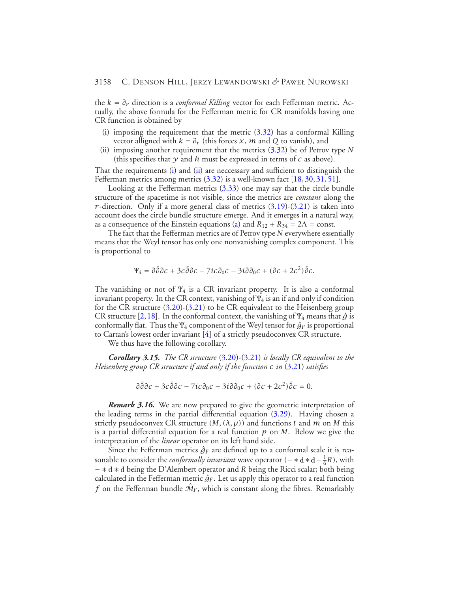<span id="page-27-0"></span>the *k* = *∂r* direction is a *conformal Killing* vector for each Fefferman metric. Actually, the above formula for the Fefferman metric for CR manifolds having one CR function is obtained by

- (i) imposing the requirement that the metric  $(3.32)$  has a conformal Killing vector alligned with  $k = \partial_r$  (this forces *x*, *m* and *Q* to vanish), and
- <span id="page-27-1"></span>(ii) imposing another requirement that the metrics [\(3.32\)](#page-26-0) be of Petrov type *N* (this specifies that  $\gamma$  and  $h$  must be expressed in terms of  $c$  as above).

That the requirements [\(i\)](#page-27-0) and [\(ii\)](#page-27-1) are neccessary and sufficient to distinguish the Fefferman metrics among metrics  $(3.32)$  is a well-known fact  $[18, 30, 31, 51]$  $[18, 30, 31, 51]$  $[18, 30, 31, 51]$  $[18, 30, 31, 51]$  $[18, 30, 31, 51]$  $[18, 30, 31, 51]$  $[18, 30, 31, 51]$ .

Looking at the Fefferman metrics [\(3.33\)](#page-26-1) one may say that the circle bundle structure of the spacetime is not visible, since the metrics are *constant* along the *r*-direction. Only if a more general class of metrics  $(3.19)-(3.21)$  $(3.19)-(3.21)$  $(3.19)-(3.21)$  is taken into account does the circle bundle structure emerge. And it emerges in a natural way, as a consequence of the Einstein equations [\(a\)](#page-14-0) and  $R_{12} + R_{34} = 2\Lambda = \text{const.}$ 

The fact that the Fefferman metrics are of Petrov type *N* everywhere essentially means that the Weyl tensor has only one nonvanishing complex component. This is proportional to

$$
\Psi_4 = \partial \bar{\partial} \partial c + 3c \bar{\partial} \partial c - 7ic \partial_0 c - 3i \partial \partial_0 c + (\partial c + 2c^2) \bar{\partial} c.
$$

The vanishing or not of  $\Psi_4$  is a CR invariant property. It is also a conformal invariant property. In the CR context, vanishing of  $\Psi_4$  is an if and only if condition for the CR structure [\(3.20\)](#page-21-1)-[\(3.21\)](#page-21-1) to be CR equivalent to the Heisenberg group CR structure [\[2,](#page-42-8) [18\]](#page-43-12). In the conformal context, the vanishing of  $\Psi_4$  means that  $\hat{g}$  is conformally flat. Thus the  $\Psi_4$  component of the Weyl tensor for  $\hat{g}_F$  is proportional to Cartan's lowest order invariant [\[4\]](#page-42-2) of a strictly pseudoconvex CR structure.

We thus have the following corollary.

*Corollary 3.15. The CR structure* [\(3.20\)](#page-21-1)*-*[\(3.21\)](#page-21-1) *is locally CR equivalent to the Heisenberg group CR structure if and only if the function c in* [\(3.21\)](#page-21-1) *satisfies*

$$
\partial\bar{\partial}\partial c + 3c\bar{\partial}\partial c - 7ic\partial_0 c - 3i\partial\partial_0 c + (\partial c + 2c^2)\bar{\partial}c = 0.
$$

*Remark 3.16.* We are now prepared to give the geometric interpretation of the leading terms in the partial differential equation [\(3.29\)](#page-24-0). Having chosen a strictly pseudoconvex CR structure  $(M, (\lambda, \mu))$  and functions t and m on M this is a partial differential equation for a real function *p* on *M*. Below we give the interpretation of the *linear* operator on its left hand side.

Since the Fefferman metrics  $\hat{g}_F$  are defined up to a conformal scale it is reasonable to consider the *conformally invariant* wave operator  $(- * d * d - \frac{1}{6}R)$ , with − ∗ <sup>d</sup> ∗ <sup>d</sup> being the D'Alembert operator and *R* being the Ricci scalar; both being calculated in the Fefferman metric  $\hat{g}_F$ . Let us apply this operator to a real function *f* on the Fefferman bundle  $\hat{\mathcal{M}}_F$ , which is constant along the fibres. Remarkably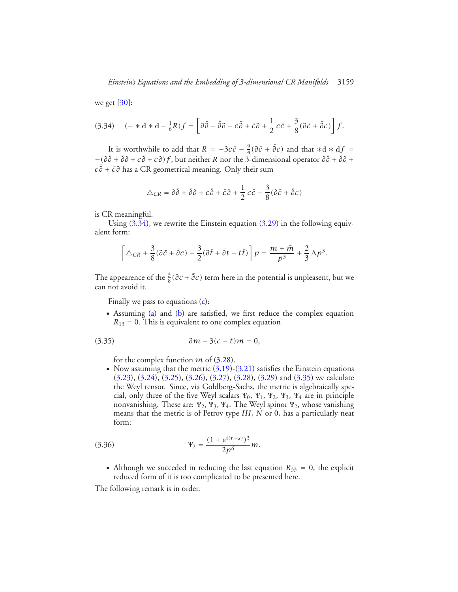<span id="page-28-0"></span>we get  $[30]$ :

$$
(3.34) \quad (-*d*d - \frac{1}{6}R)f = \left[\partial\bar{\partial} + \bar{\partial}\partial + c\bar{\partial} + \bar{c}\partial + \frac{1}{2}c\bar{c} + \frac{3}{8}(\partial\bar{c} + \bar{\partial}c)\right]f.
$$

It is worthwhile to add that  $R = -3c\bar{c} - \frac{9}{4}(\partial \bar{c} + \bar{\partial}c)$  and that  $*d * df =$  $-(\partial \bar{\partial} + \bar{\partial}\partial + c\bar{\partial} + \bar{c}\partial)f$ , but neither *R* nor the 3-dimensional operator  $\partial \bar{\partial} + \bar{\partial}\partial +$ *c* ¯ *∂* + *c∂*¯ has a CR geometrical meaning. Only their sum

$$
\triangle_{CR} = \partial \bar{\partial} + \bar{\partial} \partial + c \bar{\partial} + \bar{c} \partial + \frac{1}{2} c \bar{c} + \frac{3}{8} (\partial \bar{c} + \bar{\partial} c)
$$

is CR meaningful.

Using  $(3.34)$ , we rewrite the Einstein equation  $(3.29)$  in the following equivalent form:

$$
\left[\triangle_{CR}+\frac{3}{8}(\partial\bar{c}+\bar{\partial}c)-\frac{3}{2}(\partial\bar{t}+\bar{\partial}t+t\bar{t})\right]p=\frac{m+\bar{m}}{p^3}+\frac{2}{3}\,\Lambda p^3.
$$

The appearence of the  $\frac{3}{8}$ ( $\partial \bar{c} + \bar{\partial} c$ ) term here in the potential is unpleasent, but we can not avoid it.

<span id="page-28-1"></span>Finally we pass to equations [\(c\)](#page-14-2):

• Assuming [\(a\)](#page-14-0) and [\(b\)](#page-14-1) are satisfied, we first reduce the complex equation  $R_{13} = 0$ . This is equivalent to one complex equation

$$
(3.35) \t\t \t\t \partial m + 3(c - t)m = 0,
$$

for the complex function *m* of [\(3.28\)](#page-23-4).

• Now assuming that the metric  $(3.19)-(3.21)$  $(3.19)-(3.21)$  $(3.19)-(3.21)$  satisfies the Einstein equations [\(3.23\)](#page-22-0), [\(3.24\)](#page-22-1), [\(3.25\)](#page-23-0), [\(3.26\)](#page-23-1), [\(3.27\)](#page-23-2), [\(3.28\)](#page-23-4), [\(3.29\)](#page-24-0) and [\(3.35\)](#page-28-1) we calculate the Weyl tensor. Since, via Goldberg-Sachs, the metric is algebraically special, only three of the five Weyl scalars  $\Psi_0$ ,  $\Psi_1$ ,  $\Psi_2$ ,  $\Psi_3$ ,  $\Psi_4$  are in principle nonvanishing. These are:  $\Psi_2$ ,  $\Psi_3$ ,  $\Psi_4$ . The Weyl spinor  $\Psi_2$ , whose vanishing means that the metric is of Petrov type *III*, *N* or 0, has a particularly neat form:

<span id="page-28-3"></span>(3.36) 
$$
\Psi_2 = \frac{(1 + e^{i(r+s)})^3}{2p^6}m.
$$

• Although we succeded in reducing the last equation  $R_{33} = 0$ , the explicit reduced form of it is too complicated to be presented here.

<span id="page-28-2"></span>The following remark is in order.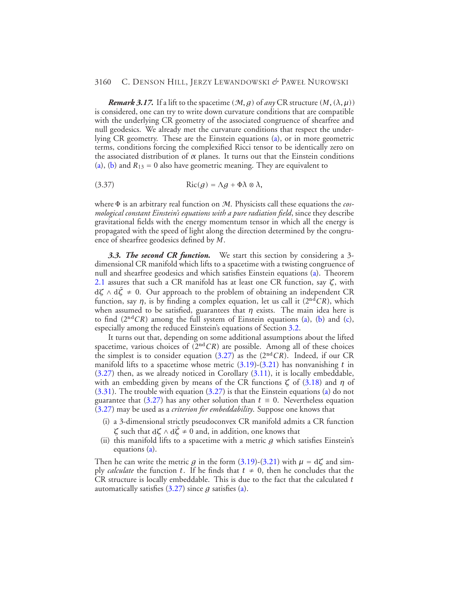*Remark 3.17.* If a lift to the spacetime  $(M, g)$  of *any* CR structure  $(M, (\lambda, \mu))$ is considered, one can try to write down curvature conditions that are compatible with the underlying CR geometry of the associated congruence of shearfree and null geodesics. We already met the curvature conditions that respect the underlying CR geometry. These are the Einstein equations [\(a\)](#page-14-0), or in more geometric terms, conditions forcing the complexified Ricci tensor to be identically zero on the associated distribution of *α* planes. It turns out that the Einstein conditions [\(a\)](#page-14-0), [\(b\)](#page-14-1) and  $R_{13} = 0$  also have geometric meaning. They are equivalent to

(3.37) 
$$
Ric(g) = \Lambda g + \Phi \lambda \otimes \lambda,
$$

where <sup>Φ</sup> is an arbitrary real function on <sup>M</sup>. Physicists call these equations the *cosmological constant Einstein's equations with a pure radiation field*, since they describe gravitational fields with the energy momentum tensor in which all the energy is propagated with the speed of light along the direction determined by the congruence of shearfree geodesics defined by *M*.

<span id="page-29-0"></span>*3.3. The second CR function.* We start this section by considering a 3 dimensional CR manifold which lifts to a spacetime with a twisting congruence of null and shearfree geodesics and which satisfies Einstein equations [\(a\)](#page-14-0). Theorem [2.1](#page-7-1) assures that such a CR manifold has at least one CR function, say *ζ*, with <sup>d</sup>*<sup>ζ</sup>* <sup>∧</sup> <sup>d</sup>*ζ*¯ <sup>≠</sup> 0. Our approach to the problem of obtaining an independent CR function, say  $\eta$ , is by finding a complex equation, let us call it ( $2<sup>nd</sup>CR$ ), which when assumed to be satisfied, guarantees that *η* exists. The main idea here is to find  $(2<sup>nd</sup>CR)$  among the full system of Einstein equations [\(a\)](#page-14-0), [\(b\)](#page-14-1) and [\(c\)](#page-14-2), especially among the reduced Einstein's equations of Section [3.2.](#page-21-0)

It turns out that, depending on some additional assumptions about the lifted spacetime, various choices of  $(2<sup>nd</sup>CR)$  are possible. Among all of these choices the simplest is to consider equation [\(3.27\)](#page-23-2) as the (2nd*CR*). Indeed, if our CR manifold lifts to a spacetime whose metric [\(3.19\)](#page-21-2)-[\(3.21\)](#page-21-1) has nonvanishing *t* in  $(3.27)$  then, as we already noticed in Corollary  $(3.11)$ , it is locally embeddable, with an embedding given by means of the CR functions *ζ* of [\(3.18\)](#page-19-0) and *η* of [\(3.31\)](#page-25-0). The trouble with equation [\(3.27\)](#page-23-2) is that the Einstein equations [\(a\)](#page-14-0) do not guarantee that [\(3.27\)](#page-23-2) has any other solution than  $t \equiv 0$ . Nevertheless equation [\(3.27\)](#page-23-2) may be used as a *criterion for embeddability*. Suppose one knows that

- (i) a 3-dimensional strictly pseudoconvex CR manifold admits a CR function *ζ* such that d*ζ* ∧ d*ζ* ≠ 0 and, in addition, one knows that
- (ii) this manifold lifts to a spacetime with a metric *g* which satisfies Einstein's equations [\(a\)](#page-14-0).

Then he can write the metric *g* in the form [\(3.19\)](#page-21-2)-[\(3.21\)](#page-21-1) with  $\mu = d\zeta$  and simply *calculate* the function *t*. If he finds that  $t \neq 0$ , then he concludes that the CR structure is locally embeddable. This is due to the fact that the calculated *t* automatically satisfies [\(3.27\)](#page-23-2) since *g* satisfies [\(a\)](#page-14-0).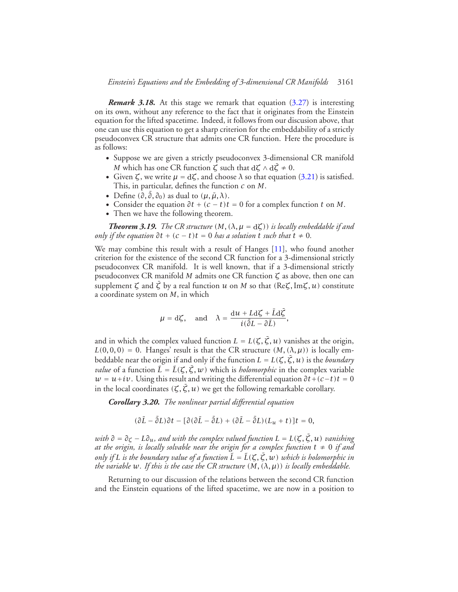*Remark 3.18.* At this stage we remark that equation [\(3.27\)](#page-23-2) is interesting on its own, without any reference to the fact that it originates from the Einstein equation for the lifted spacetime. Indeed, it follows from our discusion above, that one can use this equation to get a sharp criterion for the embeddability of a strictly pseudoconvex CR structure that admits one CR function. Here the procedure is as follows:

- Suppose we are given a strictly pseudoconvex 3-dimensional CR manifold *M* which has one CR function  $\zeta$  such that  $d\zeta \wedge d\overline{\zeta} \neq 0$ .
- Given  $\zeta$ , we write  $\mu = d\zeta$ , and choose  $\lambda$  so that equation [\(3.21\)](#page-21-1) is satisfied. This, in particular, defines the function *c* on *M*.
- Define  $(\partial, \bar{\partial}, \partial_0)$  as dual to  $(\mu, \bar{\mu}, \lambda)$ .
- Consider the equation  $\partial t + (c t)t = 0$  for a complex function *t* on *M*.
- Then we have the following theorem.

*Theorem 3.19. The CR structure*  $(M, (\lambda, \mu = d\zeta))$  *is locally embeddable if and only if the equation*  $\partial t + (c - t)t = 0$  *has a solution*  $t$  *such that*  $t \neq 0$ *.* 

We may combine this result with a result of Hanges [\[11\]](#page-42-9), who found another criterion for the existence of the second CR function for a 3-dimensional strictly pseudoconvex CR manifold. It is well known, that if a 3-dimensional strictly pseudoconvex CR manifold *M* admits one CR function *ζ* as above, then one can supplement  $\zeta$  and  $\bar{\zeta}$  by a real function  $u$  on  $M$  so that  $(\text{Re}\zeta,\text{Im}\zeta,u)$  constitute a coordinate system on *M*, in which

$$
\mu = d\zeta
$$
, and  $\lambda = \frac{du + Ld\zeta + \bar{L}d\bar{\zeta}}{i(\bar{\partial}L - \partial\bar{L})}$ ,

and in which the complex valued function  $L = L(\zeta, \bar{\zeta}, u)$  vanishes at the origin,  $L(0,0,0) = 0$ . Hanges' result is that the CR structure  $(M, (\lambda, \mu))$  is locally embeddable near the origin if and only if the function  $L = L(\zeta, \bar{\zeta}, u)$  is the *boundary value* of a function  $\tilde{L} = \tilde{L}(\zeta, \bar{\zeta}, w)$  which is *holomorphic* in the complex variable  $w = u + iv$ . Using this result and writing the differential equation  $\partial t + (c - t)t = 0$ in the local coordinates  $(\zeta, \bar{\zeta}, u)$  we get the following remarkable corollary.

*Corollary 3.20. The nonlinear partial differential equation*

$$
(\partial \bar{L} - \bar{\partial}L)\partial t - [\partial(\partial \bar{L} - \bar{\partial}L) + (\partial \bar{L} - \bar{\partial}L)(L_u + t)]t = 0,
$$

*with*  $\partial = \partial_{\zeta} - L\partial_{u}$ *, and with the complex valued function*  $L = L(\zeta, \bar{\zeta}, u)$  *vanishing at the origin, is locally solvable near the origin for a complex function*  $t \neq 0$  *if and only if L is the boundary value of a function*  $\tilde{L} = \tilde{L}(\zeta, \overline{\zeta}, w)$  which is holomorphic in *the variable*  $w$ *. If this is the case the CR structure*  $(M, (\lambda, \mu))$  *is locally embeddable.* 

Returning to our discussion of the relations between the second CR function and the Einstein equations of the lifted spacetime, we are now in a position to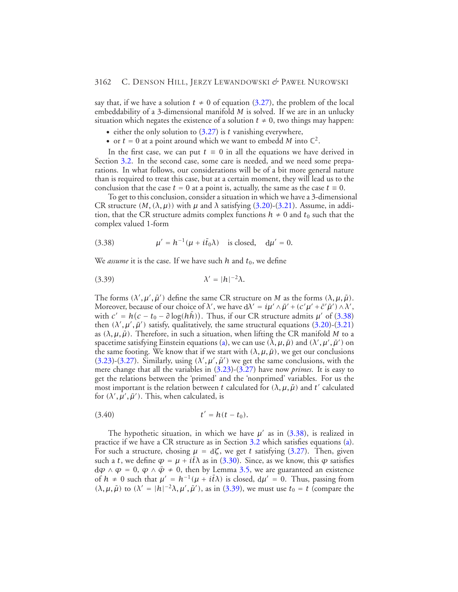say that, if we have a solution  $t \neq 0$  of equation [\(3.27\)](#page-23-2), the problem of the local embeddability of a 3-dimensional manifold *M* is solved. If we are in an unlucky situation which negates the existence of a solution  $t \neq 0$ , two things may happen:

- either the only solution to [\(3.27\)](#page-23-2) is *t* vanishing everywhere,
- or  $t = 0$  at a point around which we want to embedd M into  $\mathbb{C}^2$ .

In the first case, we can put  $t \equiv 0$  in all the equations we have derived in Section [3.2.](#page-21-0) In the second case, some care is needed, and we need some preparations. In what follows, our considerations will be of a bit more general nature than is required to treat this case, but at a certain moment, they will lead us to the conclusion that the case  $t = 0$  at a point is, actually, the same as the case  $t \equiv 0$ .

<span id="page-31-0"></span>To get to this conclusion, consider a situation in which we have a 3-dimensional CR structure  $(M, (\lambda, \mu))$  with  $\mu$  and  $\lambda$  satisfying [\(3.20\)](#page-21-1)-[\(3.21\)](#page-21-1). Assume, in addition, that the CR structure admits complex functions  $h \neq 0$  and  $t_0$  such that the complex valued 1-form

<span id="page-31-1"></span>(3.38) 
$$
\mu' = h^{-1}(\mu + i\bar{t}_0\lambda) \text{ is closed, } d\mu' = 0.
$$

We *assume* it is the case. If we have such  $h$  and  $t_0$ , we define

$$
\lambda' = |h|^{-2}\lambda.
$$

The forms  $(\lambda', \mu', \bar{\mu}')$  define the same CR structure on *M* as the forms  $(\lambda, \mu, \bar{\mu})$ . Moreover, because of our choice of  $\lambda'$ , we have  $d\lambda' = i\mu' \wedge \bar{\mu}' + (c'\mu' + \bar{c}'\bar{\mu}') \wedge \lambda',$ with  $c' = h(c - t_0 - \partial \log(h\bar{h}))$ . Thus, if our CR structure admits  $\mu'$  of [\(3.38\)](#page-31-0) then  $(\lambda', \mu', \bar{\mu}')$  satisfy, qualitatively, the same structural equations [\(3.20\)](#page-21-1)-[\(3.21\)](#page-21-1) as  $(\lambda, \mu, \bar{\mu})$ . Therefore, in such a situation, when lifting the CR manifold *M* to a spacetime satisfying Einstein equations [\(a\)](#page-14-0), we can use  $(\lambda, \mu, \bar{\mu})$  and  $(\lambda', \mu', \bar{\mu}')$  on the same footing. We know that if we start with  $(\lambda, \mu, \bar{\mu})$ , we get our conclusions [\(3.23\)](#page-22-0)-[\(3.27\)](#page-23-2). Similarly, using  $(\lambda', \mu', \bar{\mu}')$  we get the same conclusions, with the mere change that all the variables in [\(3.23\)](#page-22-0)-[\(3.27\)](#page-23-2) have now *primes*. It is easy to get the relations between the 'primed' and the 'nonprimed' variables. For us the most important is the relation between *t* calculated for  $(\lambda, \mu, \bar{\mu})$  and *t'* calculated for  $(\lambda', \mu', \bar{\mu}')$ . This, when calculated, is

$$
(3.40) \t t' = h(t - t_0).
$$

The hypothetic situation, in which we have  $\mu'$  as in [\(3.38\)](#page-31-0), is realized in practice if we have a CR structure as in Section [3.2](#page-21-0) which satisfies equations [\(a\)](#page-14-0). For such a structure, chosing  $\mu = d\zeta$ , we get *t* satisfying [\(3.27\)](#page-23-2). Then, given such a *t*, we define  $\varphi = \mu + i\bar{t}\lambda$  as in [\(3.30\)](#page-25-2). Since, as we know, this  $\varphi$  satisfies  $d\varphi \wedge \varphi = 0$ ,  $\varphi \wedge \bar{\varphi} \neq 0$ , then by Lemma [3.5,](#page-18-2) we are guaranteed an existence of  $h \neq 0$  such that  $\mu' = h^{-1}(\mu + i\bar{t}\lambda)$  is closed,  $d\mu' = 0$ . Thus, passing from  $(\lambda, \mu, \bar{\mu})$  to  $(\lambda' = |h|^{-2}\lambda, \mu', \bar{\mu}')$ , as in [\(3.39\)](#page-31-1), we must use  $t_0 = t$  (compare the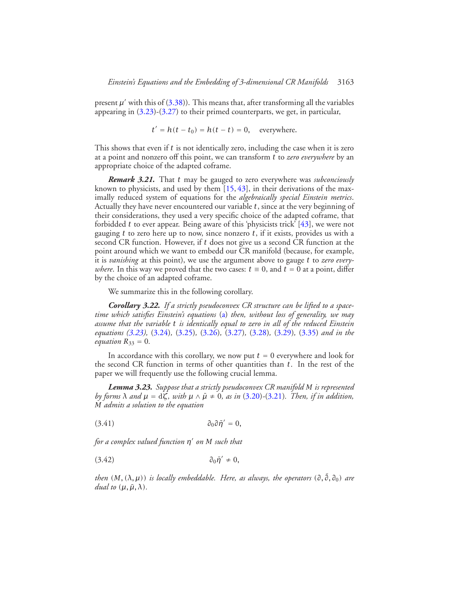present  $\mu'$  with this of [\(3.38\)](#page-31-0)). This means that, after transforming all the variables appearing in  $(3.23)-(3.27)$  $(3.23)-(3.27)$  $(3.23)-(3.27)$  to their primed counterparts, we get, in particular,

$$
t' = h(t - t_0) = h(t - t) = 0, \quad \text{everywhere.}
$$

This shows that even if *t* is not identically zero, including the case when it is zero at a point and nonzero off this point, we can transform *t* to *zero everywhere* by an appropriate choice of the adapted coframe.

*Remark 3.21.* That *t* may be gauged to zero everywhere was *subconciously* known to physicists, and used by them [\[15,](#page-43-5) [43\]](#page-44-7), in their derivations of the maximally reduced system of equations for the *algebraically special Einstein metrics*. Actually they have never encountered our variable *t*, since at the very beginning of their considerations, they used a very specific choice of the adapted coframe, that forbidded *t* to ever appear. Being aware of this 'physicists trick' [\[43\]](#page-44-7), we were not gauging *t* to zero here up to now, since nonzero *t*, if it exists, provides us with a second CR function. However, if *t* does not give us a second CR function at the point around which we want to embedd our CR manifold (because, for example, it is *vanishing* at this point), we use the argument above to gauge *t* to *zero everywhere*. In this way we proved that the two cases:  $t \equiv 0$ , and  $t = 0$  at a point, differ by the choice of an adapted coframe.

We summarize this in the following corollary.

*Corollary 3.22. If a strictly pseudoconvex CR structure can be lifted to a spacetime which satisfies Einstein's equations* [\(a\)](#page-14-0) *then, without loss of generality, we may assume that the variable t is identically equal to zero in all of the reduced Einstein equations [\(3.23\)](#page-22-0),* [\(3.24\)](#page-22-1)*,* [\(3.25\)](#page-23-0)*,* [\(3.26\)](#page-23-1)*,* [\(3.27\)](#page-23-2)*,* [\(3.28\)](#page-23-4)*,* [\(3.29\)](#page-24-0)*,* [\(3.35\)](#page-28-1) *and in the equation*  $R_{33} = 0$ *.* 

In accordance with this corollary, we now put  $t = 0$  everywhere and look for the second CR function in terms of other quantities than *t*. In the rest of the paper we will frequently use the following crucial lemma.

<span id="page-32-2"></span><span id="page-32-0"></span>*Lemma 3.23. Suppose that a strictly pseudoconvex CR manifold M is represented by forms*  $\lambda$  *and*  $\mu = d\zeta$ *, with*  $\mu \wedge \bar{\mu} \neq 0$ *, as in* [\(3.20\)](#page-21-1)-[\(3.21\)](#page-21-1)*. Then, if in addition, M admits a solution to the equation*

<span id="page-32-1"></span>
$$
\partial_0 \partial \bar{\eta}' = 0,
$$

*for a complex valued function*  $η'$  *on M such that* 

$$
\partial_0 \bar{\eta}' \neq 0,
$$

*then*  $(M, (\lambda, \mu))$  *is locally embeddable. Here, as always, the operators*  $(\partial, \bar{\partial}, \partial_0)$  *are dual to*  $(\mu, \bar{\mu}, \lambda)$ *.*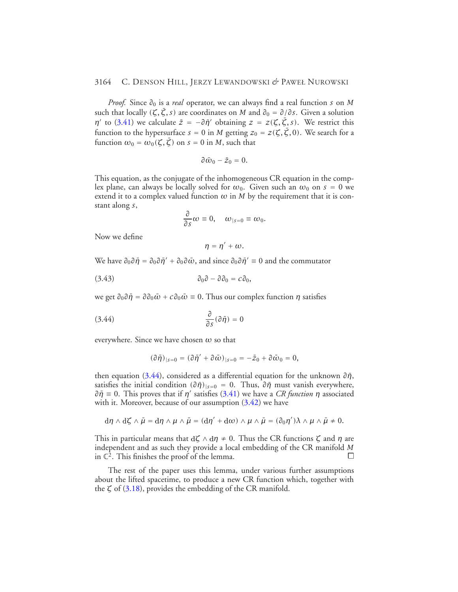*Proof.* Since *∂*<sup>0</sup> is a *real* operator, we can always find a real function *s* on *M* such that locally  $(\zeta, \bar{\zeta}, s)$  are coordinates on *M* and  $\partial_0 = \partial/\partial s$ . Given a solution *η*<sup> $\prime$ </sup> to [\(3.41\)](#page-32-0) we calculate  $\bar{z} = -\partial \bar{\eta}'$  obtaining  $z = z(\zeta, \bar{\zeta}, s)$ . We restrict this function to the hypersurface  $s = 0$  in *M* getting  $z_0 = z(\zeta, \bar{\zeta}, 0)$ . We search for a function  $\omega_0 = \omega_0(\zeta, \bar{\zeta})$  on  $s = 0$  in *M*, such that

$$
\partial \bar{\omega}_0 - \bar{z}_0 = 0.
$$

This equation, as the conjugate of the inhomogeneous CR equation in the complex plane, can always be locally solved for  $\omega_0$ . Given such an  $\omega_0$  on  $s = 0$  we extend it to a complex valued function  $\omega$  in  $M$  by the requirement that it is constant along *s*,

$$
\frac{\partial}{\partial s}\omega\equiv 0,\quad \omega_{|s=0}\equiv \omega_0.
$$

Now we define

<span id="page-33-1"></span><span id="page-33-0"></span>
$$
\eta=\eta'+\omega.
$$

We have  $\partial_0 \partial \bar{\eta} = \partial_0 \partial \bar{\eta}' + \partial_0 \partial \bar{\omega}$ , and since  $\partial_0 \partial \bar{\eta}' = 0$  and the commutator

$$
\partial_0 \partial - \partial \partial_0 = c \partial_0,
$$

we get  $\partial_0 \partial \bar{\eta} = \partial \partial_0 \bar{\omega} + c \partial_0 \bar{\omega} \equiv 0$ . Thus our complex function *η* satisfies

$$
\frac{\partial}{\partial s}(\partial \bar{\eta}) = 0
$$

everywhere. Since we have chosen *ω* so that

$$
(\partial \bar{\eta})_{|s=0}=(\partial \bar{\eta}'+\partial \bar{\omega})_{|s=0}=-\bar{z}_0+\partial \bar{\omega}_0=0,
$$

then equation [\(3.44\)](#page-33-0), considered as a differential equation for the unknown  $\partial \bar{\eta}$ , satisfies the initial condition  $(\partial \bar{\eta})_{|s=0} = 0$ . Thus,  $\partial \bar{\eta}$  must vanish everywhere,  $∂η$ <sup> $= 0$ </sup>. This proves that if *η'* satisfies [\(3.41\)](#page-32-0) we have a *CR function η* associated with it. Moreover, because of our assumption  $(3.42)$  we have

$$
{\rm d} \eta \wedge {\rm d} \zeta \wedge \bar{\mu} = {\rm d} \eta \wedge \mu \wedge \bar{\mu} = ({\rm d} \eta' + {\rm d} \omega) \wedge \mu \wedge \bar{\mu} = (\partial_0 \eta') \lambda \wedge \mu \wedge \bar{\mu} \neq 0.
$$

This in particular means that <sup>d</sup>*ζ* ∧ <sup>d</sup>*η* ≠ 0. Thus the CR functions *ζ* and *η* are independent and as such they provide a local embedding of the CR manifold *M* in  $\mathbb{C}^2$ . This finishes the proof of the lemma.

The rest of the paper uses this lemma, under various further assumptions about the lifted spacetime, to produce a new CR function which, together with the *ζ* of [\(3.18\)](#page-19-0), provides the embedding of the CR manifold.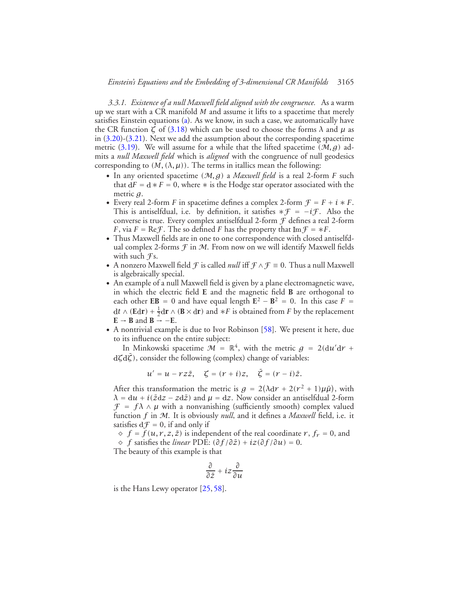<span id="page-34-0"></span>*3.3.1. Existence of a null Maxwell field aligned with the congruence.* As a warm up we start with a CR manifold *M* and assume it lifts to a spacetime that merely satisfies Einstein equations [\(a\)](#page-14-0). As we know, in such a case, we automatically have the CR function  $\zeta$  of [\(3.18\)](#page-19-0) which can be used to choose the forms  $\lambda$  and  $\mu$  as in [\(3.20\)](#page-21-1)-[\(3.21\)](#page-21-1). Next we add the assumption about the corresponding spacetime metric [\(3.19\)](#page-21-2). We will assume for a while that the lifted spacetime  $(M, g)$  admits a *null Maxwell field* which is *aligned* with the congruence of null geodesics corresponding to  $(M, (\lambda, \mu))$ . The terms in itallics mean the following:

- In any oriented spacetime *(*M*,g)* a *Maxwell field* is a real 2-form *F* such that  $dF = d * F = 0$ , where  $*$  is the Hodge star operator associated with the metric *g*.
- Every real 2-form *F* in spacetime defines a complex 2-form  $F = F + i * F$ . This is antiselfdual, i.e. by definition, it satisfies  $*F = -iF$ . Also the converse is true. Every complex antiselfdual 2-form F defines a real 2-form *F*, via *F* = Re*F*. The so defined *F* has the property that  $Im f = *F$ .
- Thus Maxwell fields are in one to one correspondence with closed antiselfdual complex 2-forms  $\mathcal F$  in  $\mathcal M$ . From now on we will identify Maxwell fields with such  $\mathcal{F}$ s.
- A nonzero Maxwell field *F* is called *null* iff  $\mathcal{F} \wedge \mathcal{F} \equiv 0$ . Thus a null Maxwell is algebraically special.
- An example of a null Maxwell field is given by a plane electromagnetic wave, in which the electric field **E** and the magnetic field **B** are orthogonal to each other **EB** = 0 and have equal length  $\mathbf{E}^2 - \mathbf{B}^2 = 0$ . In this case  $F =$  $dt \wedge (\mathbf{Edr}) + \frac{1}{2} d\mathbf{r} \wedge (\mathbf{B} \times d\mathbf{r})$  and  $*F$  is obtained from  $F$  by the replacement  $E \rightarrow B$  and  $B \rightarrow -E$ .
- A nontrivial example is due to Ivor Robinson [\[58\]](#page-44-18). We present it here, due to its influence on the entire subject:

In Minkowski spacetime  $M = \mathbb{R}^4$ , with the metric  $g = 2(du/dr +$ dζdζ), consider the following (complex) change of variables:

$$
u' = u - r z \bar{z}, \quad \zeta = (r + i)z, \quad \bar{\zeta} = (r - i)\bar{z}.
$$

After this transformation the metric is  $g = 2(\lambda dr + 2(r^2 + 1)\mu\bar{\mu})$ , with  $\lambda = du + i(\bar{z}dz - zd\bar{z})$  and  $\mu = dz$ . Now consider an antiselfdual 2-form  $\mathcal{F} = f \lambda \wedge \mu$  with a nonvanishing (sufficiently smooth) complex valued function *f* in M. It is obviously *null*, and it defines a *Maxwell* field, i.e. it satisfies  $df = 0$ , if and only if

 $\Diamond$  *f* = *f*(*u*, *r*, *z*,  $\overline{z}$ ) is independent of the real coordinate *r*, *f<sub>r</sub>* = 0, and  $\diamond$  *f* satisfies the *linear* PDE:  $(\partial f / \partial \overline{z}) + iz(\partial f / \partial u) = 0$ .

The beauty of this example is that

$$
\frac{\partial}{\partial \bar{z}} + iz \frac{\partial}{\partial u}
$$

is the Hans Lewy operator [\[25,](#page-43-10) [58\]](#page-44-18).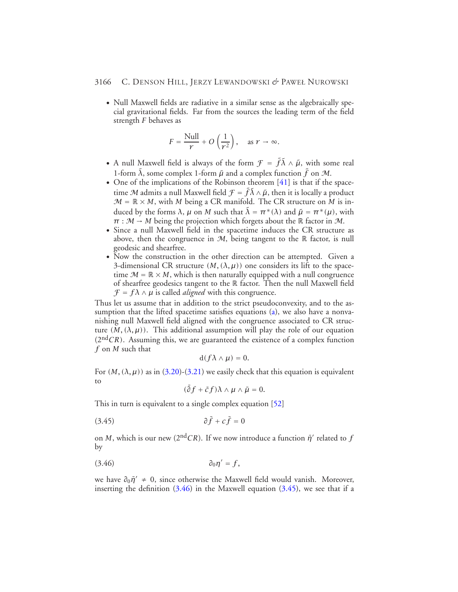• Null Maxwell fields are radiative in a similar sense as the algebraically special gravitational fields. Far from the sources the leading term of the field strength *F* behaves as

$$
F = \frac{\text{Null}}{r} + O\left(\frac{1}{r^2}\right), \quad \text{as } r \to \infty.
$$

- A null Maxwell field is always of the form  $\mathcal{F} = \tilde{f} \tilde{\lambda} \wedge \tilde{\mu}$ , with some real 1-form  $\tilde{\lambda}$ , some complex 1-form  $\tilde{\mu}$  and a complex function  $\tilde{f}$  on  $\mathcal{M}$ .
- One of the implications of the Robinson theorem [\[41\]](#page-44-19) is that if the spacetime  ${\mathcal M}$  admits a null Maxwell field  ${\mathcal F} = \tilde f \tilde \lambda \wedge \tilde \mu,$  then it is locally a product  $M = \mathbb{R} \times M$ , with *M* being a CR manifold. The CR structure on *M* is induced by the forms  $λ$ ,  $μ$  on  $M$  such that  $\tilde{λ} = π^*(λ)$  and  $\tilde{μ} = π^*(μ)$ , with  $\pi : \mathcal{M} \to M$  being the projection which forgets about the R factor in M.
- Since a null Maxwell field in the spacetime induces the CR structure as above, then the congruence in  $M$ , being tangent to the  $\mathbb R$  factor, is null geodesic and shearfree.
- Now the construction in the other direction can be attempted. Given a 3-dimensional CR structure  $(M, (\lambda, \mu))$  one considers its lift to the spacetime  $\mathcal{M} = \mathbb{R} \times M$ , which is then naturally equipped with a null congruence of shearfree geodesics tangent to the R factor. Then the null Maxwell field  $\mathcal{F} = f \lambda \wedge \mu$  is called *aligned* with this congruence.

Thus let us assume that in addition to the strict pseudoconvexity, and to the as-sumption that the lifted spacetime satisfies equations [\(a\)](#page-14-0), we also have a nonvanishing null Maxwell field aligned with the congruence associated to CR structure  $(M, (\lambda, \mu))$ . This additional assumption will play the role of our equation  $(2<sup>nd</sup>CR)$ . Assuming this, we are guaranteed the existence of a complex function *f* on *M* such that

$$
\mathrm{d}(f\lambda\wedge\mu)=0.
$$

For  $(M, (\lambda, \mu))$  as in  $(3.20)$ - $(3.21)$  we easily check that this equation is equivalent to

<span id="page-35-1"></span>
$$
(\bar{\partial}f+\bar{c}f)\lambda\wedge\mu\wedge\bar{\mu}=0.
$$

This in turn is equivalent to a single complex equation [\[52\]](#page-44-1)

$$
\partial \bar{f} + c \bar{f} = 0
$$

<span id="page-35-0"></span>on *M*, which is our new ( $2<sup>nd</sup>CR$ ). If we now introduce a function  $\bar{\eta}'$  related to *f* by

$$
\partial_0 \eta' = f,
$$

we have  $\partial_0 \bar{\eta}' \neq 0$ , since otherwise the Maxwell field would vanish. Moreover, inserting the definition  $(3.46)$  in the Maxwell equation  $(3.45)$ , we see that if a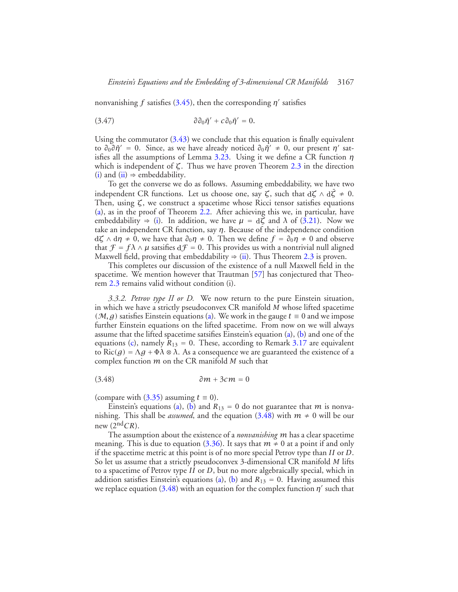<span id="page-36-1"></span>nonvanishing *f* satisfies [\(3.45\)](#page-35-1), then the corresponding  $\eta'$  satisfies

$$
\partial \partial_0 \bar{\eta}' + c \partial_0 \bar{\eta}' = 0.
$$

Using the commutator  $(3.43)$  we conclude that this equation is finally equivalent to  $∂<sub>0</sub>∂η' = 0$ . Since, as we have already noticed  $∂<sub>0</sub>η' ≠ 0$ , our present *η*' satisfies all the assumptions of Lemma [3.23.](#page-32-2) Using it we define a CR function *η* which is independent of *ζ*. Thus we have proven Theorem [2.3](#page-7-3) in the direction [\(i\)](#page-7-4) and [\(ii\)](#page-7-5)  $\Rightarrow$  embeddability.

To get the converse we do as follows. Assuming embeddability, we have two independent CR functions. Let us choose one, say  $\zeta$ , such that  $d\zeta \wedge d\bar{\zeta} \neq 0$ . Then, using *ζ*, we construct a spacetime whose Ricci tensor satisfies equations [\(a\)](#page-14-0), as in the proof of Theorem  $2.2$ . After achieving this we, in particular, have embeddability  $\Rightarrow$  [\(i\)](#page-7-4). In addition, we have  $\mu = d\zeta$  and  $\lambda$  of [\(3.21\)](#page-21-1). Now we take an independent CR function, say *η*. Because of the independence condition  $d\zeta \wedge d\eta \neq 0$ , we have that  $\partial_0 \eta \neq 0$ . Then we define  $f = \partial_0 \eta \neq 0$  and observe that  $\mathcal{F} = f\lambda \wedge \mu$  satsifies  $df = 0$ . This provides us with a nontrivial null aligned Maxwell field, proving that embeddability  $\Rightarrow$  [\(ii\)](#page-7-5). Thus Theorem [2.3](#page-7-3) is proven.

This completes our discussion of the existence of a null Maxwell field in the spacetime. We mention however that Trautman [\[57\]](#page-44-13) has conjectured that Theorem [2.3](#page-7-3) remains valid without condition (i).

*3.3.2. Petrov type II or D.* We now return to the pure Einstein situation, in which we have a strictly pseudoconvex CR manifold *M* whose lifted spacetime (*M*, *g*) satisfies Einstein equations [\(a\)](#page-14-0). We work in the gauge  $t \equiv 0$  and we impose further Einstein equations on the lifted spacetime. From now on we will always assume that the lifted spacetime satsifies Einstein's equation [\(a\)](#page-14-0), [\(b\)](#page-14-1) and one of the equations [\(c\)](#page-14-2), namely  $R_{13} = 0$ . These, according to Remark [3.17](#page-28-2) are equivalent to Ric*(g)* <sup>=</sup> <sup>Λ</sup>*<sup>g</sup>* <sup>+</sup> <sup>Φ</sup>*<sup>λ</sup>* <sup>⊗</sup> *<sup>λ</sup>*. As a consequence we are guaranteed the existence of a complex function *m* on the CR manifold *M* such that

<span id="page-36-0"></span>(3.48) *∂m* + 3*cm* = 0

(compare with  $(3.35)$  assuming  $t \equiv 0$ ).

Einstein's equations [\(a\)](#page-14-0), [\(b\)](#page-14-1) and  $R_{13} = 0$  do not guarantee that *m* is nonvanishing. This shall be *assumed*, and the equation [\(3.48\)](#page-36-0) with  $m \neq 0$  will be our new  $(2<sup>nd</sup>CR)$ .

The assumption about the existence of a *nonvanishing m* has a clear spacetime meaning. This is due to equation [\(3.36\)](#page-28-3). It says that  $m \neq 0$  at a point if and only if the spacetime metric at this point is of no more special Petrov type than *II* or *D*. So let us assume that a strictly pseudoconvex 3-dimensional CR manifold *M* lifts to a spacetime of Petrov type *II* or *D*, but no more algebraically special, which in addition satisfies Einstein's equations [\(a\)](#page-14-0), [\(b\)](#page-14-1) and  $R_{13} = 0$ . Having assumed this we replace equation  $(3.48)$  with an equation for the complex function  $\eta'$  such that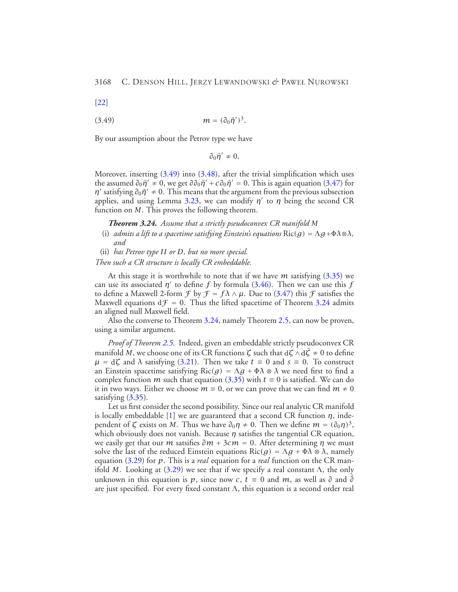<span id="page-37-0"></span>[\[22\]](#page-43-11)

$$
(3.49) \t\t\t m = (\partial_0 \bar{\eta}')^3.
$$

By our assumption about the Petrov type we have

$$
\partial_0 \bar{\eta}' \, \neq \, 0.
$$

<span id="page-37-1"></span>Moreover, inserting [\(3.49\)](#page-37-0) into [\(3.48\)](#page-36-0), after the trivial simplification which uses the assumed  $\partial_0 \bar{\eta}' \neq 0$ , we get  $\partial \partial_0 \bar{\eta}' + c \partial_0 \bar{\eta}' = 0$ . This is again equation [\(3.47\)](#page-36-1) for *η*<sup> $\prime$ </sup> satisfying  $\partial_0 \bar{\eta}^{\prime} \neq 0$ . This means that the argument from the previous subsection applies, and using Lemma [3.23,](#page-32-2) we can modify *η'* to *η* being the second CR function on *M*. This proves the following theorem.

*Theorem 3.24. Assume that a strictly pseudoconvex CR manifold M*

- (i) *admits a lift to a spacetime satisfying Einstein's equations*  $\text{Ric}(q) = \Lambda q + \Phi \Lambda \otimes \Lambda$ , *and*
- (ii) *has Petrov type II or D, but no more special.*

*Then such a CR structure is locally CR embeddable.*

At this stage it is worthwhile to note that if we have *m* satisfying [\(3.35\)](#page-28-1) we can use its associated  $\eta'$  to define *f* by formula [\(3.46\)](#page-35-0). Then we can use this *f* to define a Maxwell 2-form  $\mathcal{F}$  by  $\mathcal{F} = f\lambda \wedge \mu$ . Due to [\(3.47\)](#page-36-1) this  $\mathcal{F}$  satisfies the Maxwell equations  $df = 0$ . Thus the lifted spacetime of Theorem [3.24](#page-37-1) admits an aligned null Maxwell field.

Also the converse to Theorem [3.24,](#page-37-1) namely Theorem [2.5,](#page-8-1) can now be proven, using a similar argument.

*Proof of Theorem [2.5.](#page-8-1)* Indeed, given an embeddable strictly pseudoconvex CR manifold *M*, we choose one of its CR functions  $\zeta$  such that  $d\zeta \wedge d\overline{\zeta} \neq 0$  to define  $\mu = d\zeta$  and  $\lambda$  satisfying [\(3.21\)](#page-21-1). Then we take  $t \equiv 0$  and  $s \equiv 0$ . To construct an Einstein spacetime satisfying  $Ric(g) = \Lambda g + \Phi \lambda \otimes \lambda$  we need first to find a complex function *m* such that equation [\(3.35\)](#page-28-1) with  $t \equiv 0$  is satisfied. We can do it in two ways. Either we choose  $m \equiv 0$ , or we can prove that we can find  $m \neq 0$ satisfying  $(3.35)$ .

Let us first consider the second possibility. Since our real analytic CR manifold is locally embeddable [\[1\]](#page-42-1) we are guaranteed that a second CR function *η*, independent of  $\zeta$  exists on *M*. Thus we have  $\partial_0 \eta \neq 0$ . Then we define  $m = (\partial_0 \eta)^3$ , which obviously does not vanish. Because *η* satisfies the tangential CR equation, we easily get that our *m* satsifies  $\partial m + 3cm = 0$ . After determining *η* we must solve the last of the reduced Einstein equations  $\text{Ric}(g) = \Lambda g + \Phi \lambda \otimes \lambda$ , namely equation [\(3.29\)](#page-24-0) for *p*. This is a *real* equation for a *real* function on the CR manifold *M*. Looking at  $(3.29)$  we see that if we specify a real constant  $\Lambda$ , the only unknown in this equation is *p*, since now *c*,  $\vec{t} = 0$  and *m*, as well as  $\partial$  and  $\overline{\partial}$ are just specified. For every fixed constant  $\Lambda$ , this equation is a second order real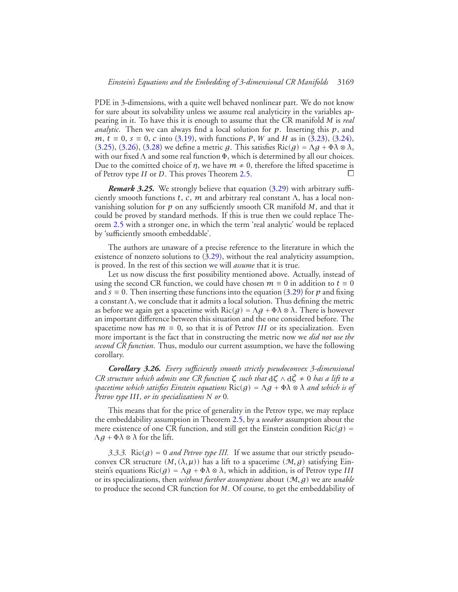PDE in 3-dimensions, with a quite well behaved nonlinear part. We do not know for sure about its solvability unless we assume real analyticity in the variables appearing in it. To have this it is enough to assume that the CR manifold *M* is *real analytic*. Then we can always find a local solution for *p*. Inserting this *p*, and *m*, *t* ≡ 0, *s* ≡ 0, *c* into [\(3.19\)](#page-21-2), with functions *P*, *W* and *H* as in [\(3.23\)](#page-22-0), [\(3.24\)](#page-22-1), [\(3.25\)](#page-23-0), [\(3.26\)](#page-23-1), [\(3.28\)](#page-23-4) we define a metric *g*. This satisfies  $\text{Ric}(g) = \Lambda g + \Phi \lambda \otimes \lambda$ , with our fixed  $\Lambda$  and some real function  $\Phi$ , which is determined by all our choices. Due to the comitted choice of *η*, we have  $m \neq 0$ , therefore the lifted spacetime is of Petrov type *II* or *D*. This proves Theorem [2.5.](#page-8-1) **□** 

<span id="page-38-0"></span>*Remark 3.25.* We strongly believe that equation [\(3.29\)](#page-24-0) with arbitrary sufficiently smooth functions *t*, *c*, *m* and arbitrary real constant  $\Lambda$ , has a local nonvanishing solution for *p* on any sufficiently smooth CR manifold *M*, and that it could be proved by standard methods. If this is true then we could replace Theorem [2.5](#page-8-1) with a stronger one, in which the term 'real analytic' would be replaced by 'sufficiently smooth embeddable'.

The authors are unaware of a precise reference to the literature in which the existence of nonzero solutions to  $(3.29)$ , without the real analyticity assumption, is proved. In the rest of this section we will *assume* that it is true.

Let us now discuss the first possibility mentioned above. Actually, instead of using the second CR function, we could have chosen  $m \equiv 0$  in addition to  $t \equiv 0$ and  $s \equiv 0$ . Then inserting these functions into the equation [\(3.29\)](#page-24-0) for p and fixing a constant <sup>Λ</sup>, we conclude that it admits a local solution. Thus defining the metric as before we again get a spacetime with  $\text{Ric}(q) = \Lambda q + \Phi \lambda \otimes \lambda$ . There is however an important difference between this situation and the one considered before. The spacetime now has  $m \equiv 0$ , so that it is of Petrov *III* or its specialization. Even more important is the fact that in constructing the metric now we *did not use the second CR function*. Thus, modulo our current assumption, we have the following corollary.

*Corollary 3.26. Every sufficiently smooth strictly pseudoconvex 3-dimensional CR structure which admits one CR function*  $\zeta$  *such that*  $d\zeta \wedge d\overline{\zeta} \neq 0$  *has a lift to a spacetime which satisfies Einstein equations* Ric*(g)* <sup>=</sup> <sup>Λ</sup>*<sup>g</sup>* <sup>+</sup> <sup>Φ</sup>*<sup>λ</sup>* <sup>⊗</sup> *<sup>λ</sup> and which is of Petrov type III, or its specializations N or* 0*.*

This means that for the price of generality in the Petrov type, we may replace the embeddability assumption in Theorem [2.5,](#page-8-1) by a *weaker* assumption about the mere existence of one CR function, and still get the Einstein condition  $Ric(g)$  = <sup>Λ</sup>*<sup>g</sup>* <sup>+</sup> <sup>Φ</sup>*<sup>λ</sup>* <sup>⊗</sup> *<sup>λ</sup>* for the lift.

*3.3.3.* Ric( $g$ ) = 0 *and Petrov type III.* If we assume that our strictly pseudoconvex CR structure  $(M, (\lambda, \mu))$  has a lift to a spacetime  $(M, g)$  satisfying Einstein's equations  $\text{Ric}(g) = \Lambda g + \Phi \lambda \otimes \lambda$ , which in addition, is of Petrov type *III* or its specializations, then *without further assumptions* about *(*M*,g)* we are *unable* to produce the second CR function for *M*. Of course, to get the embeddability of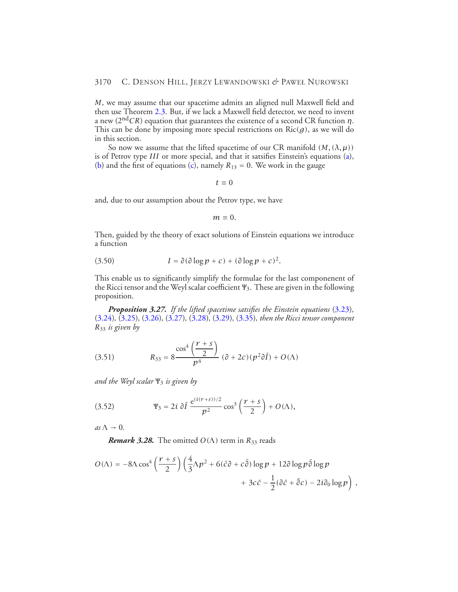*M*, we may assume that our spacetime admits an aligned null Maxwell field and then use Theorem [2.3.](#page-7-3) But, if we lack a Maxwell field detector, we need to invent a new (2nd*CR*) equation that guarantees the existence of a second CR function *η*. This can be done by imposing more special restrictions on  $Ric(g)$ , as we will do in this section.

So now we assume that the lifted spacetime of our CR manifold  $(M, (\lambda, \mu))$ is of Petrov type *III* or more special, and that it satsifies Einstein's equations [\(a\)](#page-14-0), [\(b\)](#page-14-1) and the first of equations [\(c\)](#page-14-2), namely  $R_{13} = 0$ . We work in the gauge

$$
t\equiv 0
$$

and, due to our assumption about the Petrov type, we have

$$
m\equiv 0.
$$

Then, guided by the theory of exact solutions of Einstein equations we introduce a function

(3.50) 
$$
I = \partial(\partial \log p + c) + (\partial \log p + c)^2.
$$

This enable us to significantly simplify the formulae for the last componenent of the Ricci tensor and the Weyl scalar coefficient <sup>Ψ</sup>3. These are given in the following proposition.

*Proposition 3.27. If the lifted spacetime satsifies the Einstein equations* [\(3.23\)](#page-22-0)*,* [\(3.24\)](#page-22-1)*,* [\(3.25\)](#page-23-0)*,* [\(3.26\)](#page-23-1)*,* [\(3.27\)](#page-23-2)*,* [\(3.28\)](#page-23-4)*,* [\(3.29\)](#page-24-0)*,* [\(3.35\)](#page-28-1)*, then the Ricci tensor component R*<sup>33</sup> *is given by*

<span id="page-39-0"></span>(3.51) 
$$
R_{33} = 8 \frac{\cos^4\left(\frac{r+s}{2}\right)}{p^4} \left(\partial + 2c\right) (p^2 \partial \overline{I}) + O(\Lambda)
$$

<span id="page-39-1"></span>*and the Weyl scalar* <sup>Ψ</sup><sup>3</sup> *is given by*

(3.52) 
$$
\Psi_3 = 2i \, \partial \bar{I} \, \frac{e^{(i(r+s))/2}}{p^2} \cos^3 \left( \frac{r+s}{2} \right) + O(\Lambda),
$$

 $as \Lambda \rightarrow 0$ .

*Remark 3.28.* The omitted  $O(\Lambda)$  term in  $R_{33}$  reads

$$
O(\Lambda) = -8\Lambda \cos^4\left(\frac{r+s}{2}\right) \left(\frac{4}{3}\Lambda p^2 + 6(\bar{c}\partial + c\bar{\partial})\log p + 12\partial \log p\bar{\partial} \log p +3c\bar{c} - \frac{1}{2}(\partial \bar{c} + \bar{\partial} c) - 2i\partial_0 \log p\right),
$$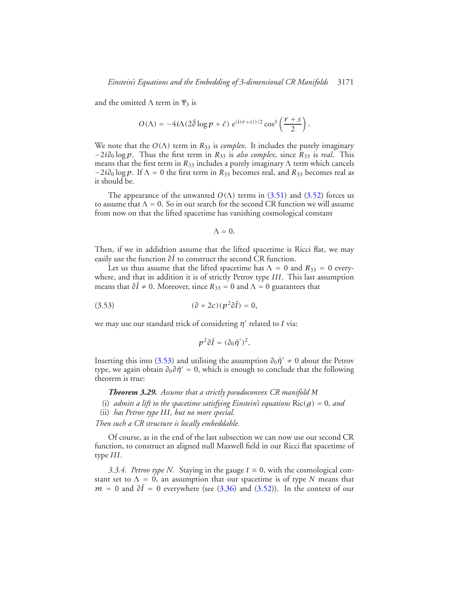and the omitted  $\Lambda$  term in  $\Psi_3$  is

$$
O(\Lambda) = -4i\Lambda(2\bar{\partial}\log p + \bar{c}) e^{(i(r+s))/2} \cos^3\left(\frac{r+s}{2}\right).
$$

We note that the  $O(\Lambda)$  term in  $R_{33}$  is *complex*. It includes the purely imaginary −2*i∂*<sup>0</sup> log *p*. Thus the first term in *R*<sup>33</sup> is *also complex*, since *R*<sup>33</sup> is *real*. This means that the first term in  $R_{33}$  includes a purely imaginary  $\Lambda$  term which cancels  $-2i\partial_0 \log p$ . If  $\Lambda = 0$  the first term in  $R_{33}$  becomes real, and  $R_{33}$  becomes real as it should be.

The appearance of the unwanted  $O(\Lambda)$  terms in [\(3.51\)](#page-39-0) and [\(3.52\)](#page-39-1) forces us to assume that  $\Lambda = 0$ . So in our search for the second CR function we will assume from now on that the lifted spacetime has vanishing cosmological constant

<span id="page-40-0"></span>
$$
\Lambda=0.
$$

Then, if we in addidtion assume that the lifted spacetime is Ricci flat, we may easily use the function  $\partial \bar{I}$  to construct the second CR function.

Let us thus assume that the lifted spacetime has  $\Lambda = 0$  and  $R_{33} = 0$  everywhere, and that in addition it is of strictly Petrov type *III*. This last assumption means that  $\partial \bar{I} \neq 0$ . Moreover, since  $R_{33} = 0$  and  $\Lambda = 0$  guarantees that

$$
(3.53) \qquad \qquad (\partial + 2c)(p^2 \partial \overline{I}) = 0,
$$

we may use our standard trick of considering *η*<sup>*'*</sup> related to *I* via:

$$
p^2\partial \bar I=(\partial_0\bar\eta')^2.
$$

<span id="page-40-1"></span>Inserting this into [\(3.53\)](#page-40-0) and utilising the assumption  $\partial_0 \bar{\eta}' \neq 0$  about the Petrov type, we again obtain  $\partial_0 \partial \bar{\eta}' = 0$ , which is enough to conclude that the following theorem is true:

*Theorem 3.29. Assume that a strictly pseudoconvex CR manifold M*

- (i) *admits a lift to the spacetime satisfying Einstein's equations*  $Ric(g) = 0$ *, and*
- (ii) *has Petrov type III, but no more special.*

*Then such a CR structure is locally embeddable.*

Of course, as in the end of the last subsection we can now use our second CR function, to construct an aligned null Maxwell field in our Ricci flat spacetime of type *III*.

*3.3.4. Petrov type N.* Staying in the gauge  $t \equiv 0$ , with the cosmological constant set to  $\Lambda = 0$ , an assumption that our spacetime is of type *N* means that  $m = 0$  and  $\partial \overline{I} = 0$  everywhere (see [\(3.36\)](#page-28-3) and [\(3.52\)](#page-39-1)). In the context of our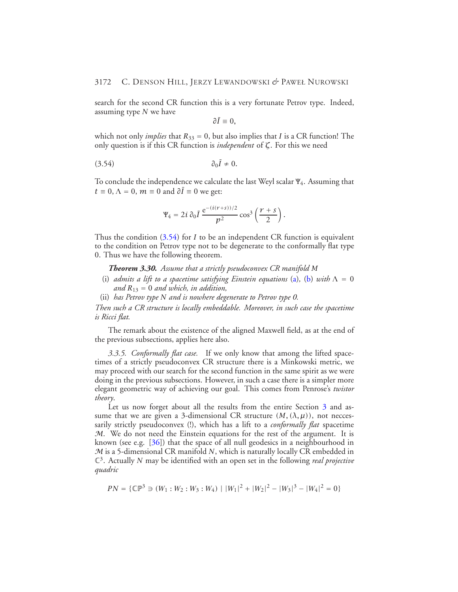search for the second CR function this is a very fortunate Petrov type. Indeed, assuming type *N* we have

<span id="page-41-0"></span>
$$
\partial \bar{I}\equiv 0,
$$

which not only *implies* that  $R_{33} = 0$ , but also implies that *I* is a CR function! The only question is if this CR function is *independent* of *ζ*. For this we need

$$
\partial_0 \bar{I} \neq 0.
$$

To conclude the independence we calculate the last Weyl scalar <sup>Ψ</sup>4. Assuming that  $t \equiv 0$ ,  $\Lambda = 0$ ,  $m \equiv 0$  and  $\partial \overline{I} = 0$  we get:

$$
\Psi_4 = 2i \, \partial_0 \bar{I} \, \frac{e^{-(i(r+s))/2}}{p^2} \cos^3 \left( \frac{r+s}{2} \right).
$$

<span id="page-41-1"></span>Thus the condition [\(3.54\)](#page-41-0) for *I* to be an independent CR function is equivalent to the condition on Petrov type not to be degenerate to the conformally flat type 0. Thus we have the following theorem.

*Theorem 3.30. Assume that a strictly pseudoconvex CR manifold M*

- (i) *admits a lift to a spacetime satisfying Einstein equations* [\(a\)](#page-14-0), [\(b\)](#page-14-1) with  $\Lambda = 0$ *and R*<sup>13</sup> = 0 *and which, in addition,*
- (ii) *has Petrov type N and is nowhere degenerate to Petrov type 0.*

*Then such a CR structure is locally embeddable. Moreover, in such case the spacetime is Ricci flat.*

The remark about the existence of the aligned Maxwell field, as at the end of the previous subsections, applies here also.

*3.3.5. Conformally flat case.* If we only know that among the lifted spacetimes of a strictly pseudoconvex CR structure there is a Minkowski metric, we may proceed with our search for the second function in the same spirit as we were doing in the previous subsections. However, in such a case there is a simpler more elegant geometric way of achieving our goal. This comes from Penrose's *twistor theory*.

Let us now forget about all the results from the entire Section [3](#page-10-0) and assume that we are given a 3-dimensional CR structure  $(M, (\lambda, \mu))$ , not neccessarily strictly pseudoconvex (!), which has a lift to a *conformally flat* spacetime  $M$ . We do not need the Einstein equations for the rest of the argument. It is known (see e.g. [\[36\]](#page-43-4)) that the space of all null geodesics in a neighbourhood in M is a 5-dimensional CR manifold *N*, which is naturally locally CR embedded in C3. Actually *N* may be identified with an open set in the following *real projective quadric*

$$
PN = \{ \mathbb{CP}^3 \ni (W_1 : W_2 : W_3 : W_4) \mid |W_1|^2 + |W_2|^2 - |W_3|^3 - |W_4|^2 = 0 \}
$$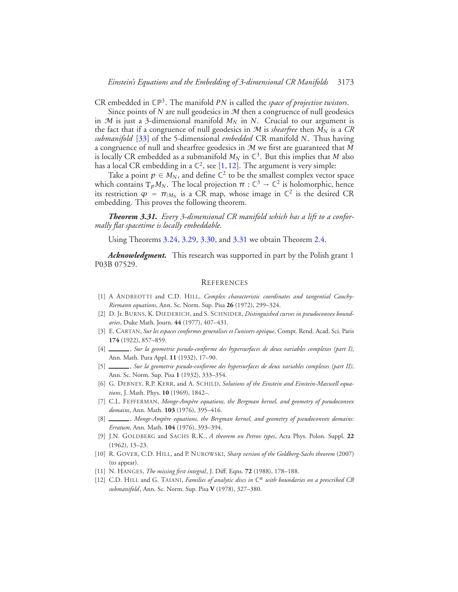CR embedded in CP3. The manifold *PN* is called the *space of projective twistors*.

Since points of  $N$  are null geodesics in  $M$  then a congruence of null geodesics in  $M$  is just a 3-dimensional manifold  $M_N$  in  $N$ . Crucial to our argument is the fact that if a congruence of null geodesics in  $M$  is *shearfree* then  $M_N$  is a  $CR$ *submanifold* [\[33\]](#page-43-20) of the 5-dimensional *embedded* CR manifold *N*. Thus having a congruence of null and shearfree geodesics in M we first are guaranteed that *M* is locally CR embedded as a submanifold  $M_N$  in  $\mathbb{C}^3$ . But this implies that *M* also has a local CR embedding in a  $\mathbb{C}^2$ , see [\[1,](#page-42-1) [12\]](#page-42-10). The argument is very simple:

Take a point  $p \in M_N$ , and define  $\mathbb{C}^2$  to be the smallest complex vector space which contains  $T_pM_N$ . The local projection  $\pi : \mathbb{C}^3 \to \mathbb{C}^2$  is holomorphic, hence its restriction  $\varphi = \pi_{|M_N}$  is a CR map, whose image in  $\mathbb{C}^2$  is the desired CR embedding. This proves the following theorem.

<span id="page-42-0"></span>*Theorem 3.31. Every 3-dimensional CR manifold which has a lift to a conformally flat spacetime is locally embeddable.*

Using Theorems [3.24,](#page-37-1) [3.29,](#page-40-1) [3.30,](#page-41-1) and [3.31](#page-42-0) we obtain Theorem [2.4.](#page-8-0)

*Acknowledgment.* This research was supported in part by the Polish grant 1 P03B 07529.

#### **REFERENCES**

- <span id="page-42-1"></span>[1] A ANDREOTTI and C.D. HILL, *Complex characteristic coordinates and tangential Cauchy-Riemann equations*, Ann. Sc. Norm. Sup. Pisa **26** (1972), 299–324.
- <span id="page-42-8"></span>[2] D. Jr. BURNS, K. DIEDERICH, and S. SCHNIDER, *Distinguished curves in pseudoconvex boundaries*, Duke Math. Journ. **44** (1977), 407–431.
- <span id="page-42-5"></span>[3] E. CARTAN, *Sur les espaces conformes generalises et l'univers optique*, Compt. Rend. Acad. Sci. Paris **174** (1922), 857–859.
- <span id="page-42-2"></span>[4] , *Sur la geometrie pseudo-conforme des hypersurfaces de deux variables complexes (part I)*, Ann. Math. Pura Appl. **11** (1932), 17–90.
- [5] , *Sur la geometrie pseudo-conforme des hypersurfaces de deux variables complexes (part II)*, Ann. Sc. Norm. Sup. Pisa **1** (1932), 333–354.
- <span id="page-42-3"></span>[6] G. DEBNEY, R.P. KERR, and A. SCHILD, *Solutions of the Einstein and Einstein-Maxwell equations*, J. Math. Phys. **10** (1969), 1842–.
- <span id="page-42-7"></span>[7] C.L. FEFFERMAN, *Monge-Ampère equations, the Bergman kernel, and geometry of pseudoconvex domains*, Ann. Math. **103** (1976), 395–416.
- [8] \_\_\_\_\_\_, Monge-Ampère equations, the Bergman kernel, and geometry of pseudoconvex domains: *Erratum*, Ann. Math. **104** (1976), 393–394.
- <span id="page-42-4"></span>[9] J.N. GOLDBERG and SACHS R.K., *A theorem on Petrov types*, Acta Phys. Polon. Suppl. **22** (1962), 13–23.
- <span id="page-42-6"></span>[10] R. GOVER, C.D. HILL, and P. NUROWSKI, *Sharp version of the Goldberg-Sachs theorem* (2007) (to appear).
- <span id="page-42-9"></span>[11] N. HANGES, *The missing first integral*, J. Diff. Eqns. **72** (1988), 178–188.
- <span id="page-42-10"></span>[12] C.D. HILL and G. TAIANI, *Families of analytic discs in* C*<sup>n</sup> with boundaries on a prescribed CR submanifold*, Ann. Sc. Norm. Sup. Pisa **V** (1978), 327–380.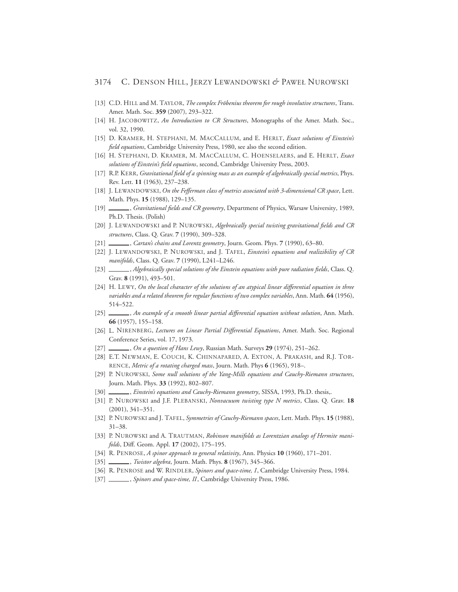## 3174 C. DENSON HILL, JERZY LEWANDOWSKI *&* PAWEŁ NUROWSKI

- <span id="page-43-18"></span>[13] C.D. HILL and M. TAYLOR, *The complex Fröbenius theorem for rough involutive structures*, Trans. Amer. Math. Soc. **359** (2007), 293–322.
- <span id="page-43-3"></span>[14] H. JACOBOWITZ, *An Introduction to CR Structures*, Monographs of the Amer. Math. Soc., vol. 32, 1990.
- <span id="page-43-5"></span>[15] D. KRAMER, H. STEPHANI, M. MACCALLUM, and E. HERLT, *Exact solutions of Einstein's field equations*, Cambridge University Press, 1980, see also the second edition.
- [16] H. STEPHANI, D. KRAMER, M. MACCALLUM, C. HOENSELAERS, and E. HERLT, *Exact solutions of Einstein's field equations*, second, Cambridge University Press, 2003.
- <span id="page-43-6"></span>[17] R.P. KERR, *Gravitational field of a spinning mass as an example of algebraically special metrics*, Phys. Rev. Lett. **11** (1963), 237–238.
- <span id="page-43-12"></span>[18] J. LEWANDOWSKI, *On the Fefferman class of metrics associated with 3-dimensional CR space*, Lett. Math. Phys. **15** (1988), 129–135.
- [19] , *Gravitational fields and CR geometry*, Department of Physics, Warsaw University, 1989, Ph.D. Thesis. (Polish)
- [20] J. LEWANDOWSKI and P. NUROWSKI, *Algebraically special twisting gravitational fields and CR structures*, Class. Q. Grav. **7** (1990), 309–328.
- <span id="page-43-13"></span>[21] , *Cartan's chains and Lorentz geometry*, Journ. Geom. Phys. **7** (1990), 63–80.
- <span id="page-43-11"></span>[22] J. LEWANDOWSKI, P. NUROWSKI, and J. TAFEL, *Einstein's equations and realizibility of CR manifolds*, Class. Q. Grav. **7** (1990), L241–L246.
- <span id="page-43-14"></span>[23] , *Algebraically special solutions of the Einstein equations with pure radiation fields*, Class. Q. Grav. **8** (1991), 493–501.
- <span id="page-43-0"></span>[24] H. LEWY, *On the local character of the solutions of an atypical linear differential equation in three variables and a related theorem for regular functions of two complex variables*, Ann. Math. **64** (1956), 514–522.
- <span id="page-43-10"></span>[25] , *An example of a smooth linear partial differential equation without solution*, Ann. Math. **66** (1957), 155–158.
- <span id="page-43-1"></span>[26] L. NIRENBERG, *Lectures on Linear Partial Differential Equations*, Amer. Math. Soc. Regional Conference Series, vol. 17, 1973.
- <span id="page-43-2"></span>[27] , *On a question of Hans Lewy*, Russian Math. Surveys **29** (1974), 251–262.
- <span id="page-43-7"></span>[28] E.T. NEWMAN, E. COUCH, K. CHINNAPARED, A. EXTON, A. PRAKASH, and R.J. TOR-RENCE, *Metric of a rotating charged mass*, Journ. Math. Phys **6** (1965), 918–.
- <span id="page-43-15"></span>[29] P. NUROWSKI, *Some null solutions of the Yang-Mills equations and Cauchy-Riemann structures*, Journ. Math. Phys. **33** (1992), 802–807.
- <span id="page-43-16"></span>[30] *\_\_\_\_\_, Einstein's equations and Cauchy-Riemann geometry*, SISSA, 1993, Ph.D. thesis,.
- <span id="page-43-19"></span>[31] P. NUROWSKI and J.F. PLEBANSKI, *Nonvacuum twisting type N metrics*, Class. Q. Grav. **18** (2001), 341–351.
- <span id="page-43-17"></span>[32] P. NUROWSKI and J. TAFEL, *Symmetries of Cauchy-Riemann spaces*, Lett. Math. Phys. **15** (1988), 31–38.
- <span id="page-43-20"></span>[33] P. NUROWSKI and A. TRAUTMAN, *Robinson manifolds as Lorentzian analogs of Hermite manifolds*, Diff. Geom. Appl. **17** (2002), 175–195.
- <span id="page-43-8"></span>[34] R. PENROSE, *A spinor approach to general relativity*, Ann. Physics **10** (1960), 171–201.
- <span id="page-43-9"></span>[35] , *Twistor algebra*, Journ. Math. Phys. **8** (1967), 345–366.
- <span id="page-43-4"></span>[36] R. PENROSE and W. RINDLER, *Spinors and space-time, I*, Cambridge University Press, 1984.
- [37] \_\_\_\_\_\_, *Spinors and space-time, II*, Cambridge University Press, 1986.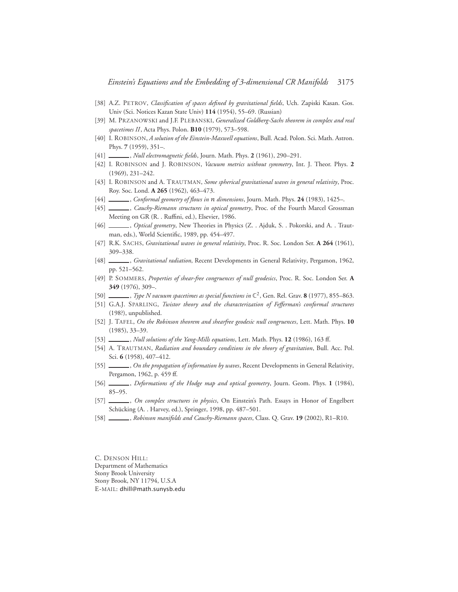- <span id="page-44-14"></span>[38] A.Z. PETROV, *Classification of spaces defined by gravitational fields*, Uch. Zapiski Kasan. Gos. Univ (Sci. Notices Kazan State Univ) **114** (1954), 55–69. (Russian)
- <span id="page-44-16"></span>[39] M. PRZANOWSKI and J.F. PLEBANSKI, *Generalized Goldberg-Sachs theorem in complex and real spacetimes II*, Acta Phys. Polon. **B10** (1979), 573–598.
- <span id="page-44-6"></span>[40] I. ROBINSON, *A solution of the Einstein-Maxwell equations*, Bull. Acad. Polon. Sci. Math. Astron. Phys. **7** (1959), 351–.
- <span id="page-44-19"></span>[41] , *Null electromagnetic fields*, Journ. Math. Phys. **2** (1961), 290–291.
- [42] I. ROBINSON and J. ROBINSON, *Vacuum metrics without symmetry*, Int. J. Theor. Phys. **2** (1969), 231–242.
- <span id="page-44-7"></span>[43] I. ROBINSON and A. TRAUTMAN, *Some spherical gravitational waves in general relativity*, Proc. Roy. Soc. Lond. **A 265** (1962), 463–473.
- <span id="page-44-4"></span>[44] , *Conformal geometry of flows in n dimensions*, Journ. Math. Phys. **24** (1983), 1425–.
- <span id="page-44-0"></span>[45] , *Cauchy-Riemann structures in optical geometry*, Proc. of the Fourth Marcel Grossman Meeting on GR (R. . Ruffini, ed.), Elsevier, 1986.
- <span id="page-44-2"></span>[46] , *Optical geometry*, New Theories in Physics (Z. . Ajduk, S. . Pokorski, and A. . Trautman, eds.), World Scientific, 1989, pp. 454–497.
- <span id="page-44-8"></span>[47] R.K. SACHS, *Gravitational waves in general relativity*, Proc. R. Soc. London Ser. **A 264** (1961), 309–338.
- <span id="page-44-15"></span>[48] , *Gravitational radiation*, Recent Developments in General Relativity, Pergamon, 1962, pp. 521–562.
- <span id="page-44-5"></span>[49] P. SOMMERS, *Properties of shear-free congruences of null geodesics*, Proc. R. Soc. London Ser. **A 349** (1976), 309–.
- <span id="page-44-9"></span>[50] , *Type N vacuum spacetimes as special functions in* C2, Gen. Rel. Grav. **8** (1977), 855–863.
- <span id="page-44-17"></span>[51] G.A.J. SPARLING, *Twistor theory and the characterization of Fefferman's conformal structures* (198?), unpublished.
- <span id="page-44-1"></span>[52] J. TAFEL, *On the Robinson theorem and shearfree geodesic null congruences*, Lett. Math. Phys. **10** (1985), 33–39.
- <span id="page-44-12"></span>[53] , *Null solutions of the Yang-Mills equations*, Lett. Math. Phys. **12** (1986), 163 ff.
- <span id="page-44-10"></span>[54] A. TRAUTMAN, *Radiation and boundary conditions in the theory of gravitation*, Bull. Acc. Pol. Sci. **6** (1958), 407–412.
- <span id="page-44-11"></span>[55] , *On the propagation of information by waves*, Recent Developments in General Relativity, Pergamon, 1962, p. 459 ff.
- <span id="page-44-3"></span>[56] , *Deformations of the Hodge map and optical geometry*, Journ. Geom. Phys. **1** (1984), 85–95.
- <span id="page-44-13"></span>[57] , *On complex structures in physics*, On Einstein's Path. Essays in Honor of Engelbert Schücking (A. . Harvey, ed.), Springer, 1998, pp. 487–501.
- <span id="page-44-18"></span>[58] , *Robinson manifolds and Cauchy-Riemann spaces*, Class. Q. Grav. **19** (2002), R1–R10.

C. DENSON HILL: Department of Mathematics Stony Brook University Stony Brook, NY 11794, U.S.A E-MAIL: dhill@math.sunysb.edu